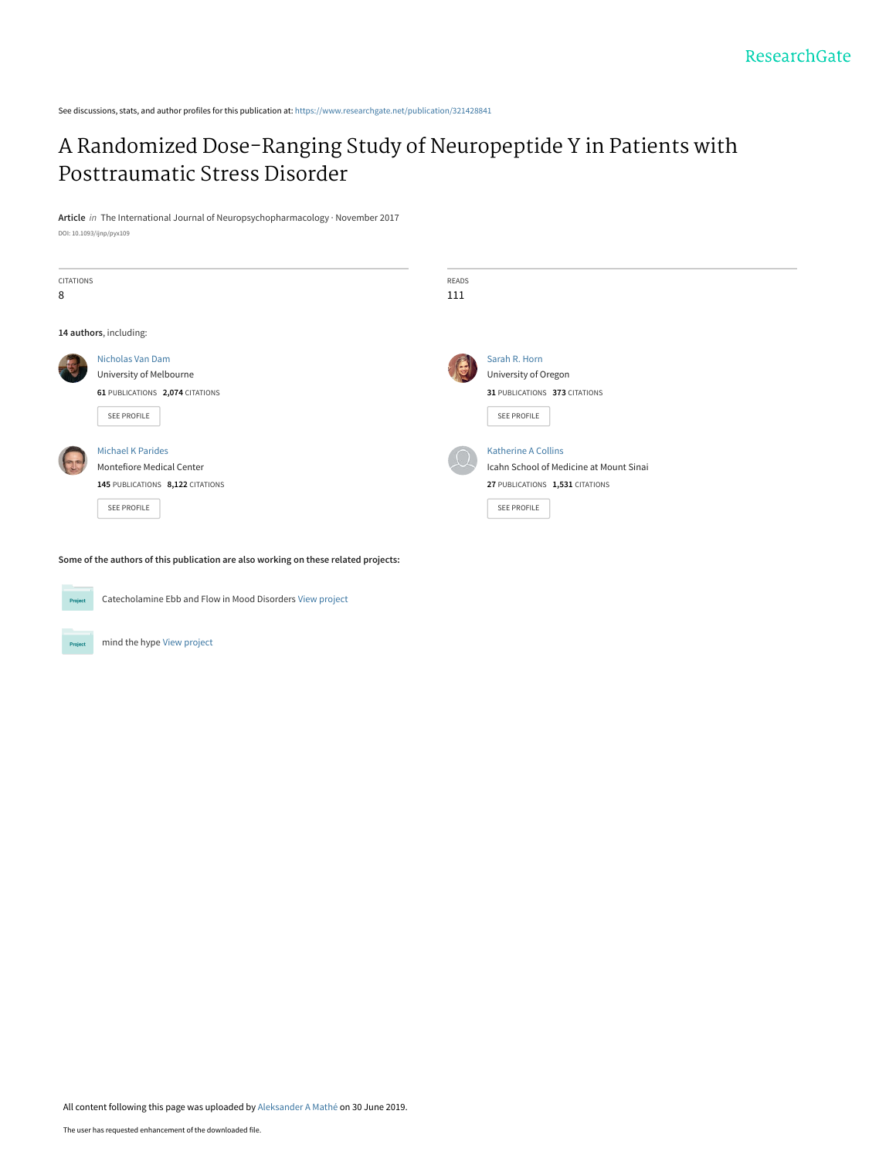See discussions, stats, and author profiles for this publication at: [https://www.researchgate.net/publication/321428841](https://www.researchgate.net/publication/321428841_A_Randomized_Dose-Ranging_Study_of_Neuropeptide_Y_in_Patients_with_Posttraumatic_Stress_Disorder?enrichId=rgreq-75bd8f6b528367a10cf39c5bb31cd416-XXX&enrichSource=Y292ZXJQYWdlOzMyMTQyODg0MTtBUzo3NzU0MzUyNjA1NDcwNzNAMTU2MTg4OTU4MTM5MQ%3D%3D&el=1_x_2&_esc=publicationCoverPdf)

# [A Randomized Dose-Ranging Study of Neuropeptide Y in Patients with](https://www.researchgate.net/publication/321428841_A_Randomized_Dose-Ranging_Study_of_Neuropeptide_Y_in_Patients_with_Posttraumatic_Stress_Disorder?enrichId=rgreq-75bd8f6b528367a10cf39c5bb31cd416-XXX&enrichSource=Y292ZXJQYWdlOzMyMTQyODg0MTtBUzo3NzU0MzUyNjA1NDcwNzNAMTU2MTg4OTU4MTM5MQ%3D%3D&el=1_x_3&_esc=publicationCoverPdf) Posttraumatic Stress Disorder

**Article** in The International Journal of Neuropsychopharmacology · November 2017

DOI: 10.1093/ijnp/pyx109

| CITATIONS     |                                  | READS |                                         |  |
|---------------|----------------------------------|-------|-----------------------------------------|--|
| 8             |                                  | 111   |                                         |  |
|               |                                  |       |                                         |  |
|               | 14 authors, including:           |       |                                         |  |
|               | <b>Nicholas Van Dam</b>          |       | Sarah R. Horn                           |  |
| $\sqrt{5}$    | University of Melbourne          |       | University of Oregon                    |  |
|               | 61 PUBLICATIONS 2,074 CITATIONS  |       | 31 PUBLICATIONS 373 CITATIONS           |  |
|               | SEE PROFILE                      |       | SEE PROFILE                             |  |
| <b>SIGNER</b> | <b>Michael K Parides</b>         |       | <b>Katherine A Collins</b>              |  |
|               | Montefiore Medical Center        |       | Icahn School of Medicine at Mount Sinai |  |
|               | 145 PUBLICATIONS 8,122 CITATIONS |       | 27 PUBLICATIONS 1,531 CITATIONS         |  |
|               | SEE PROFILE                      |       | SEE PROFILE                             |  |
|               |                                  |       |                                         |  |

**Some of the authors of this publication are also working on these related projects:**



Project

Catecholamine Ebb and Flow in Mood Disorders [View project](https://www.researchgate.net/project/Catecholamine-Ebb-and-Flow-in-Mood-Disorders?enrichId=rgreq-75bd8f6b528367a10cf39c5bb31cd416-XXX&enrichSource=Y292ZXJQYWdlOzMyMTQyODg0MTtBUzo3NzU0MzUyNjA1NDcwNzNAMTU2MTg4OTU4MTM5MQ%3D%3D&el=1_x_9&_esc=publicationCoverPdf)

mind the hype [View project](https://www.researchgate.net/project/mind-the-hype?enrichId=rgreq-75bd8f6b528367a10cf39c5bb31cd416-XXX&enrichSource=Y292ZXJQYWdlOzMyMTQyODg0MTtBUzo3NzU0MzUyNjA1NDcwNzNAMTU2MTg4OTU4MTM5MQ%3D%3D&el=1_x_9&_esc=publicationCoverPdf)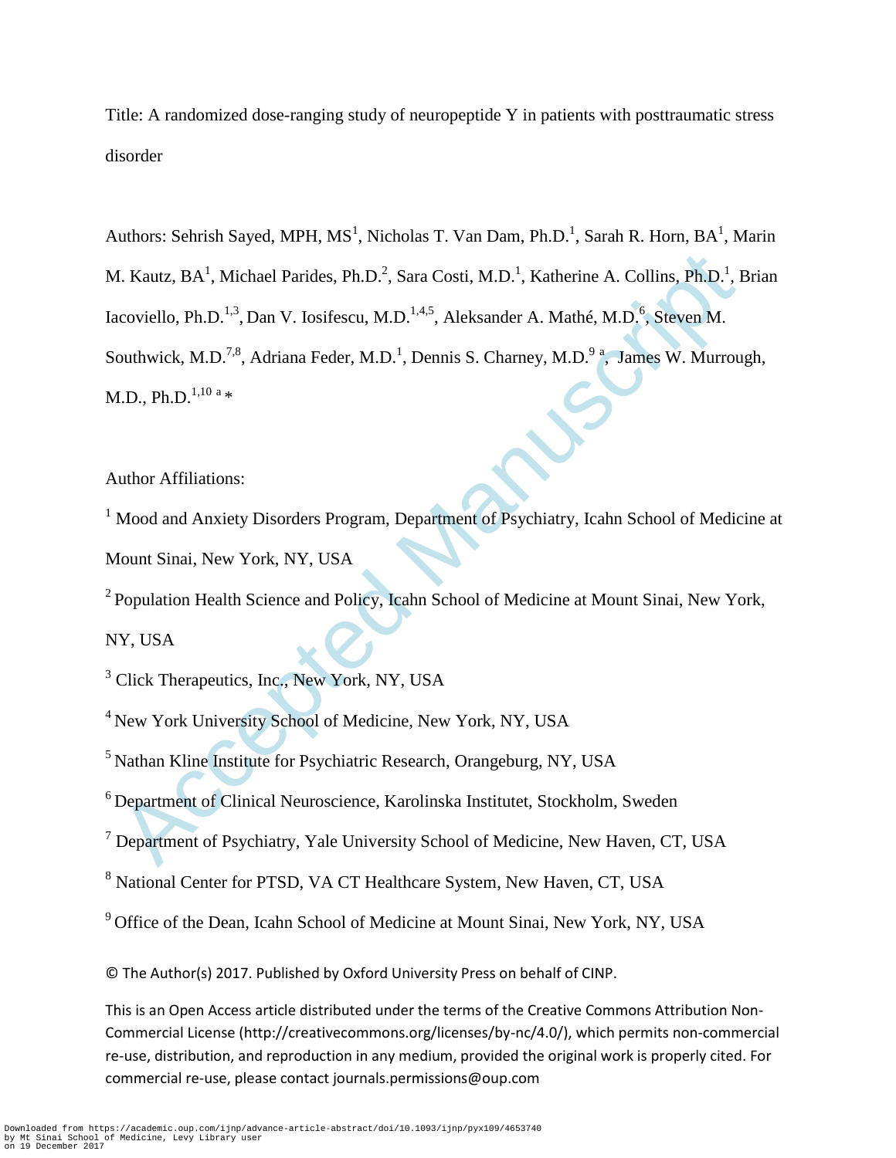Title: A randomized dose-ranging study of neuropeptide Y in patients with posttraumatic stress disorder

1. Kautz, BA<sup>1</sup>, Michael Parides, Ph.D.<sup>2</sup>, Sara Costi, M.D.<sup>1</sup>, Katherine A. Collins, Ph.D.<sup>1</sup>, I.<br>coviello, Ph.D.<sup>1,3</sup>, Dan V. Iosifescu, M.D.<sup>1,4,3</sup>, Aleksander A. Mathé, M.D.<sup>9</sup>, Steven M.<br>outhwick, M.D.<sup>7,3</sup>, Adriana Authors: Sehrish Sayed, MPH, MS<sup>1</sup>, Nicholas T. Van Dam, Ph.D.<sup>1</sup>, Sarah R. Horn, BA<sup>1</sup>, Marin M. Kautz, BA<sup>1</sup>, Michael Parides, Ph.D.<sup>2</sup>, Sara Costi, M.D.<sup>1</sup>, Katherine A. Collins, Ph.D.<sup>1</sup>, Brian Iacoviello, Ph.D.<sup>1,3</sup>, Dan V. Iosifescu, M.D.<sup>1,4,5</sup>, Aleksander A. Mathé, M.D.<sup>6</sup>, Steven M. Southwick, M.D.<sup>7,8</sup>, Adriana Feder, M.D.<sup>1</sup>, Dennis S. Charney, M.D.<sup>9</sup><sup>a</sup>, James W. Murrough, M.D., Ph.D. $^{1,10}$  a  $\ast$ 

Author Affiliations:

<sup>1</sup> Mood and Anxiety Disorders Program, Department of Psychiatry, Icahn School of Medicine at Mount Sinai, New York, NY, USA

<sup>2</sup> Population Health Science and Policy, Icahn School of Medicine at Mount Sinai, New York,

NY, USA

<sup>3</sup> Click Therapeutics, Inc., New York, NY, USA

<sup>4</sup> New York University School of Medicine, New York, NY, USA

<sup>5</sup> Nathan Kline Institute for Psychiatric Research, Orangeburg, NY, USA

<sup>6</sup> Department of Clinical Neuroscience, Karolinska Institutet, Stockholm, Sweden

<sup>7</sup> Department of Psychiatry, Yale University School of Medicine, New Haven, CT, USA

<sup>8</sup> National Center for PTSD, VA CT Healthcare System, New Haven, CT, USA

<sup>9</sup> Office of the Dean, Icahn School of Medicine at Mount Sinai, New York, NY, USA

© The Author(s) 2017. Published by Oxford University Press on behalf of CINP.

This is an Open Access article distributed under the terms of the Creative Commons Attribution Non-Commercial License (http://creativecommons.org/licenses/by-nc/4.0/), which permits non-commercial re-use, distribution, and reproduction in any medium, provided the original work is properly cited. For commercial re-use, please contact journals.permissions@oup.com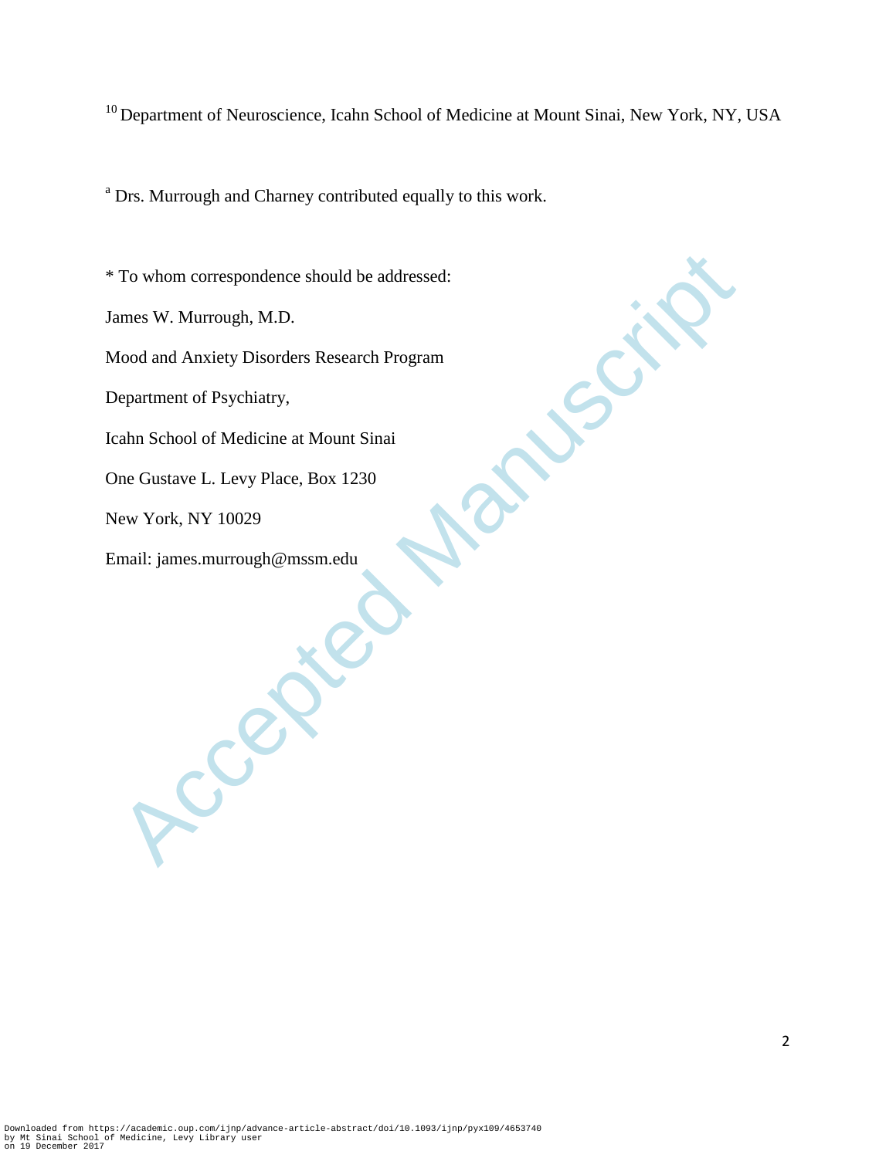<sup>10</sup> Department of Neuroscience, Icahn School of Medicine at Mount Sinai, New York, NY, USA

<sup>a</sup> Drs. Murrough and Charney contributed equally to this work.

To whom correspondence should be addressed:<br>ames W. Murrough, M.D.<br>dood and Anxiety Disorders Research Program<br>pepartment of Psychiatry,<br>azahn School of Medicine at Mount Sinai<br>he Gustave L. Levy Place, Box 1230<br>iew York, \* To whom correspondence should be addressed: James W. Murrough, M.D. Mood and Anxiety Disorders Research Program Department of Psychiatry, Icahn School of Medicine at Mount Sinai One Gustave L. Levy Place, Box 1230 New York, NY 10029 Email: james.murrough@mssm.edu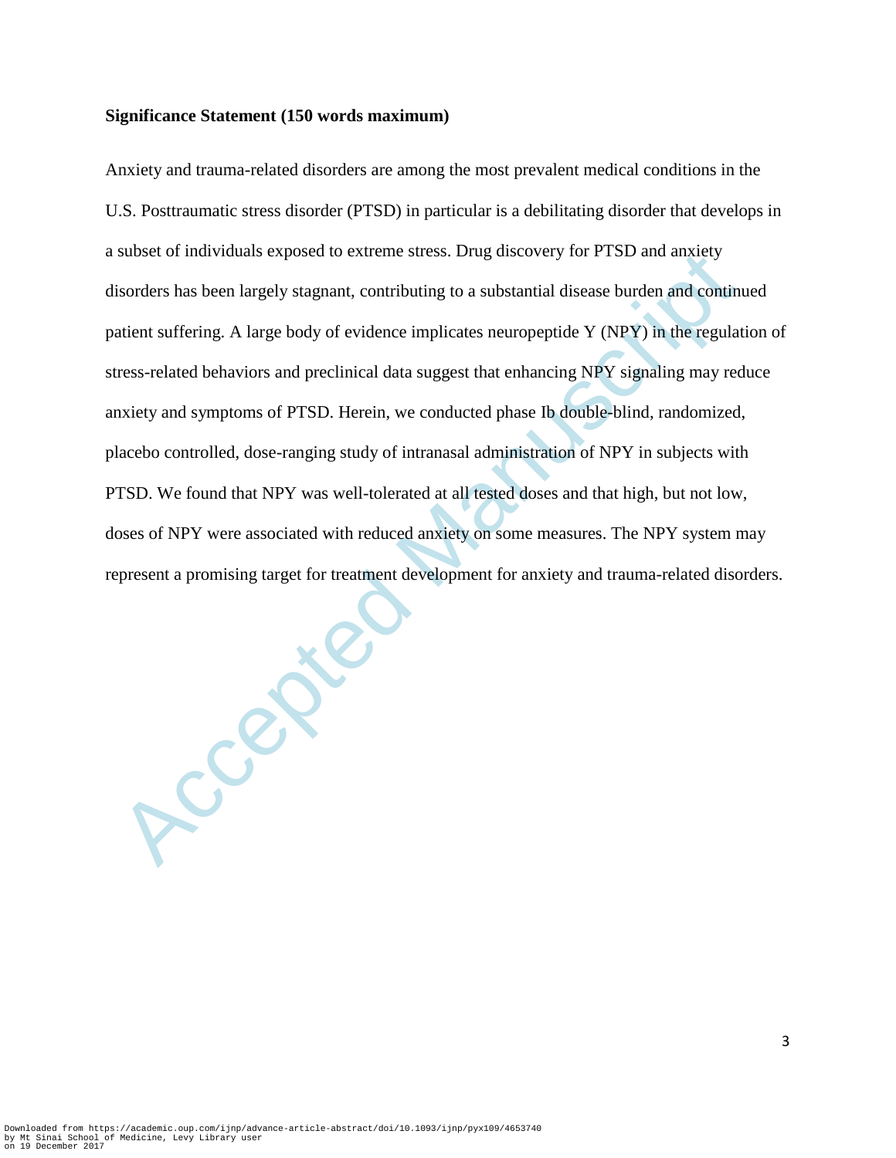#### **Significance Statement (150 words maximum)**

Anxiety and trauma-related disorders are among the most prevalent medical conditions in the U.S. Posttraumatic stress disorder (PTSD) in particular is a debilitating disorder that develops in a subset of individuals exposed to extreme stress. Drug discovery for PTSD and anxiety disorders has been largely stagnant, contributing to a substantial disease burden and continued patient suffering. A large body of evidence implicates neuropeptide Y (NPY) in the regulation of stress-related behaviors and preclinical data suggest that enhancing NPY signaling may reduce anxiety and symptoms of PTSD. Herein, we conducted phase Ib double-blind, randomized, placebo controlled, dose-ranging study of intranasal administration of NPY in subjects with PTSD. We found that NPY was well-tolerated at all tested doses and that high, but not low, doses of NPY were associated with reduced anxiety on some measures. The NPY system may represent a promising target for treatment development for anxiety and trauma-related disorders.

Accepted Manuscript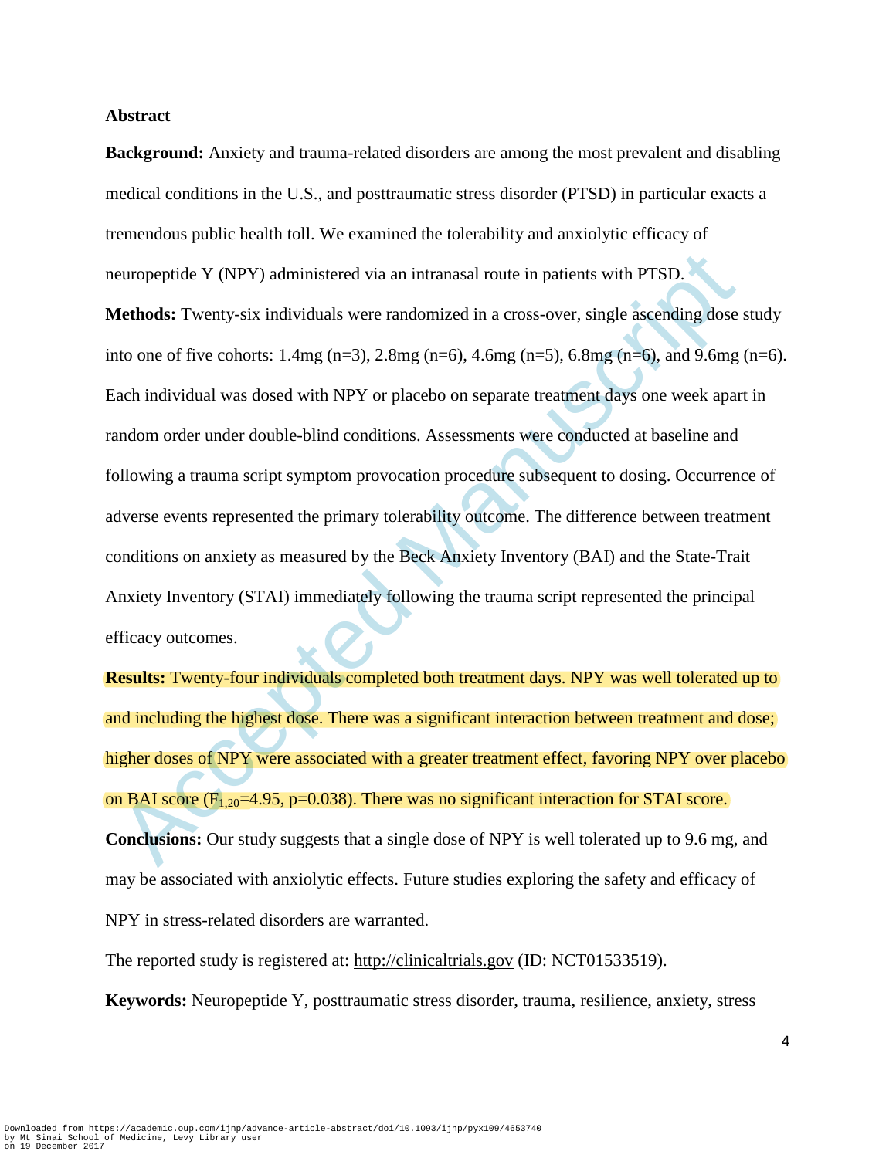#### **Abstract**

**Background:** Anxiety and trauma-related disorders are among the most prevalent and disabling medical conditions in the U.S., and posttraumatic stress disorder (PTSD) in particular exacts a tremendous public health toll. We examined the tolerability and anxiolytic efficacy of neuropeptide Y (NPY) administered via an intranasal route in patients with PTSD.

europeptide Y (NPY) administered via an intranasal route in patients with PTSD.<br> **Aethods:** Twenty-six individuals were randomized in a cross-over, single ascending dose ato one of five cohorts: 1.4mg (n=3), 2.8mg (n=6), 4 **Methods:** Twenty-six individuals were randomized in a cross-over, single ascending dose study into one of five cohorts: 1.4mg (n=3), 2.8mg (n=6), 4.6mg (n=5), 6.8mg (n=6), and 9.6mg (n=6). Each individual was dosed with NPY or placebo on separate treatment days one week apart in random order under double-blind conditions. Assessments were conducted at baseline and following a trauma script symptom provocation procedure subsequent to dosing. Occurrence of adverse events represented the primary tolerability outcome. The difference between treatment conditions on anxiety as measured by the Beck Anxiety Inventory (BAI) and the State-Trait Anxiety Inventory (STAI) immediately following the trauma script represented the principal efficacy outcomes.

**Results:** Twenty-four individuals completed both treatment days. NPY was well tolerated up to and including the highest dose. There was a significant interaction between treatment and dose; higher doses of NPY were associated with a greater treatment effect, favoring NPY over placebo on BAI score  $(F_{1,20}=4.95, p=0.038)$ . There was no significant interaction for STAI score. **Conclusions:** Our study suggests that a single dose of NPY is well tolerated up to 9.6 mg, and may be associated with anxiolytic effects. Future studies exploring the safety and efficacy of NPY in stress-related disorders are warranted.

The reported study is registered at: [http://clinicaltrials.gov](http://clinicaltrials.gov/) (ID: NCT01533519).

**Keywords:** Neuropeptide Y, posttraumatic stress disorder, trauma, resilience, anxiety, stress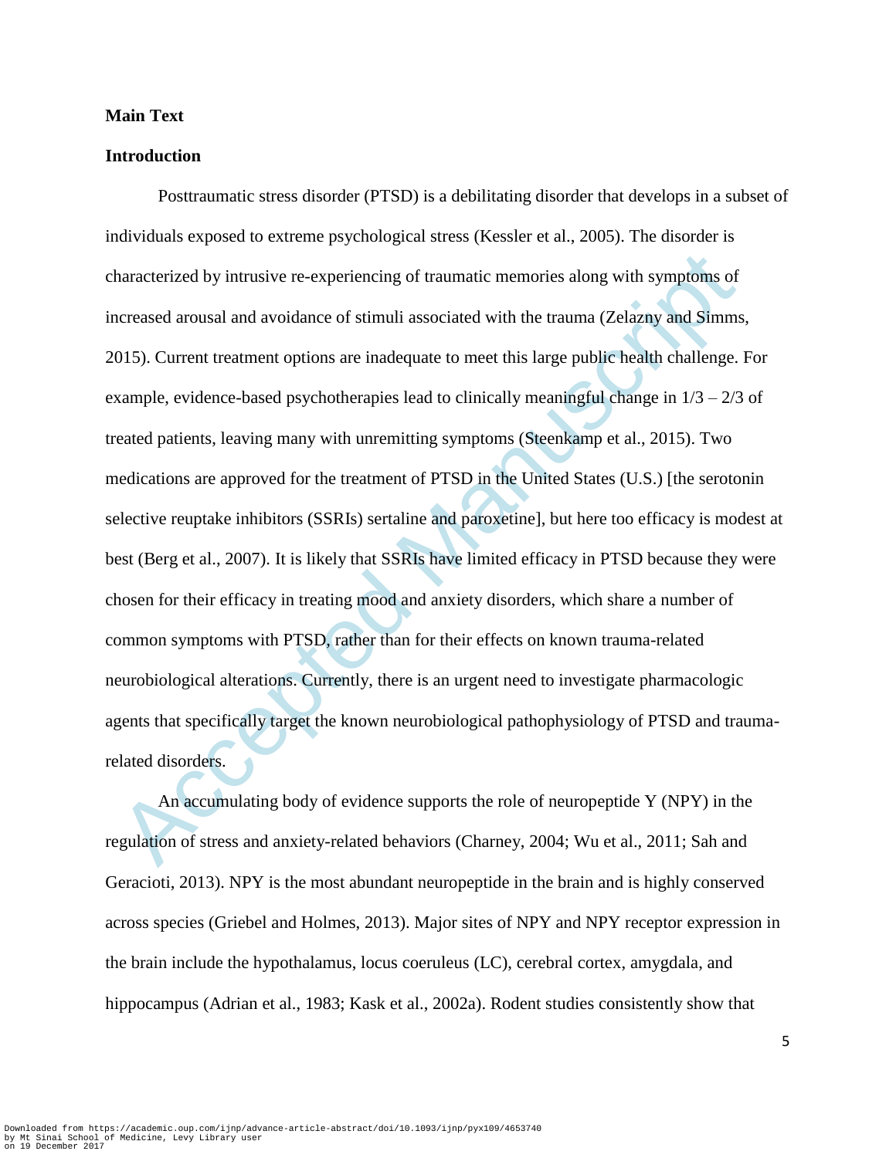#### **Main Text**

#### **Introduction**

haracterized by intrusive re-experiencing of traumatic memories along with symptoms of<br>creased arousal and avoidance of stimuli associated with the trauma (Zelazny and Simms<br>015). Current treatment options are inadequate t Posttraumatic stress disorder (PTSD) is a debilitating disorder that develops in a subset of individuals exposed to extreme psychological stress (Kessler et al., 2005). The disorder is characterized by intrusive re-experiencing of traumatic memories along with symptoms of increased arousal and avoidance of stimuli associated with the trauma (Zelazny and Simms, 2015). Current treatment options are inadequate to meet this large public health challenge. For example, evidence-based psychotherapies lead to clinically meaningful change in  $1/3 - 2/3$  of treated patients, leaving many with unremitting symptoms (Steenkamp et al., 2015). Two medications are approved for the treatment of PTSD in the United States (U.S.) [the serotonin selective reuptake inhibitors (SSRIs) sertaline and paroxetine], but here too efficacy is modest at best (Berg et al., 2007). It is likely that SSRIs have limited efficacy in PTSD because they were chosen for their efficacy in treating mood and anxiety disorders, which share a number of common symptoms with PTSD, rather than for their effects on known trauma-related neurobiological alterations. Currently, there is an urgent need to investigate pharmacologic agents that specifically target the known neurobiological pathophysiology of PTSD and traumarelated disorders.

An accumulating body of evidence supports the role of neuropeptide Y (NPY) in the regulation of stress and anxiety-related behaviors (Charney, 2004; Wu et al., 2011; Sah and Geracioti, 2013). NPY is the most abundant neuropeptide in the brain and is highly conserved across species (Griebel and Holmes, 2013). Major sites of NPY and NPY receptor expression in the brain include the hypothalamus, locus coeruleus (LC), cerebral cortex, amygdala, and hippocampus (Adrian et al., 1983; Kask et al., 2002a). Rodent studies consistently show that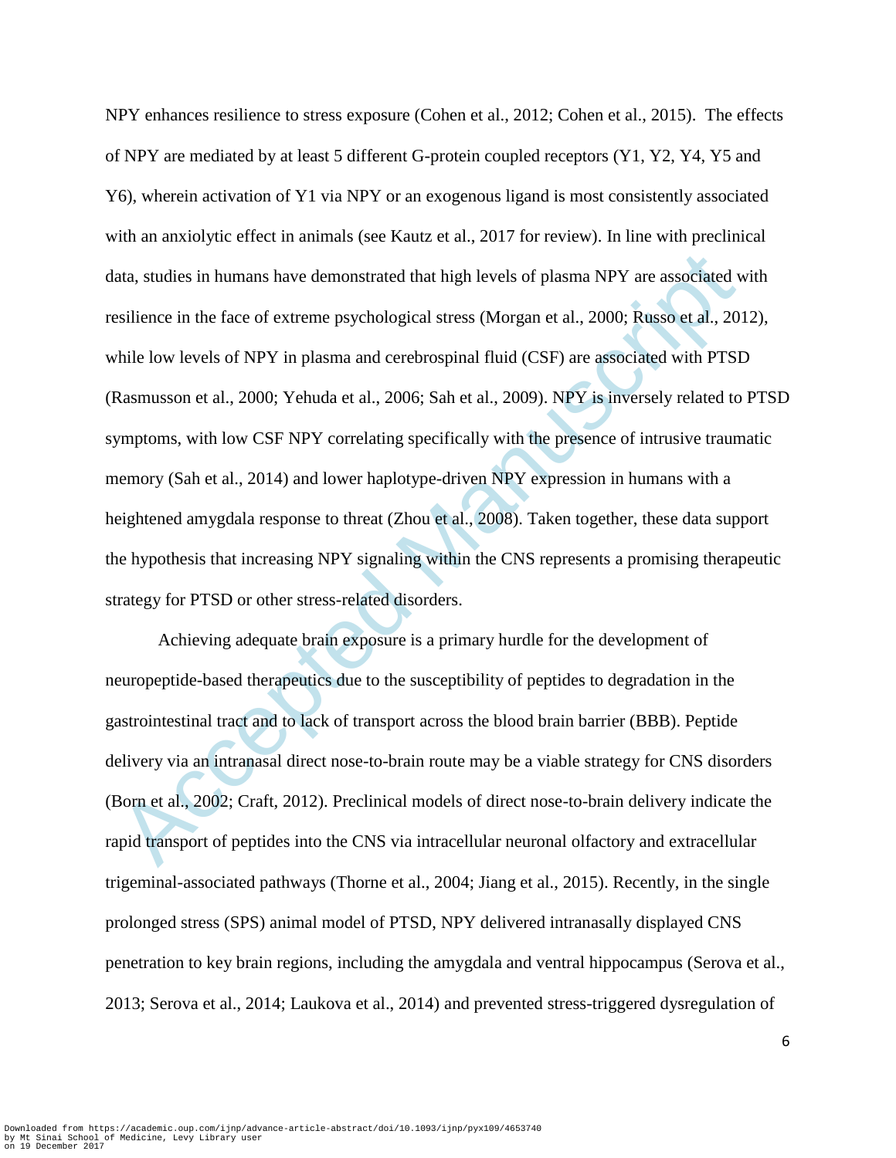ata, studies in humans have demonstrated that high levels of plasma NPY are associated vasilience in the face of extreme psychological stress (Morgan et al., 2000; Russo et al., 20) thile low levels of NPY in plasma and ce NPY enhances resilience to stress exposure (Cohen et al., 2012; Cohen et al., 2015). The effects of NPY are mediated by at least 5 different G-protein coupled receptors (Y1, Y2, Y4, Y5 and Y6), wherein activation of Y1 via NPY or an exogenous ligand is most consistently associated with an anxiolytic effect in animals (see Kautz et al., 2017 for review). In line with preclinical data, studies in humans have demonstrated that high levels of plasma NPY are associated with resilience in the face of extreme psychological stress (Morgan et al., 2000; Russo et al., 2012), while low levels of NPY in plasma and cerebrospinal fluid (CSF) are associated with PTSD (Rasmusson et al., 2000; Yehuda et al., 2006; Sah et al., 2009). NPY is inversely related to PTSD symptoms, with low CSF NPY correlating specifically with the presence of intrusive traumatic memory (Sah et al., 2014) and lower haplotype-driven NPY expression in humans with a heightened amygdala response to threat (Zhou et al., 2008). Taken together, these data support the hypothesis that increasing NPY signaling within the CNS represents a promising therapeutic strategy for PTSD or other stress-related disorders.

Achieving adequate brain exposure is a primary hurdle for the development of neuropeptide-based therapeutics due to the susceptibility of peptides to degradation in the gastrointestinal tract and to lack of transport across the blood brain barrier (BBB). Peptide delivery via an intranasal direct nose-to-brain route may be a viable strategy for CNS disorders (Born et al., 2002; Craft, 2012). Preclinical models of direct nose-to-brain delivery indicate the rapid transport of peptides into the CNS via intracellular neuronal olfactory and extracellular trigeminal-associated pathways (Thorne et al., 2004; Jiang et al., 2015). Recently, in the single prolonged stress (SPS) animal model of PTSD, NPY delivered intranasally displayed CNS penetration to key brain regions, including the amygdala and ventral hippocampus (Serova et al., 2013; Serova et al., 2014; Laukova et al., 2014) and prevented stress-triggered dysregulation of

6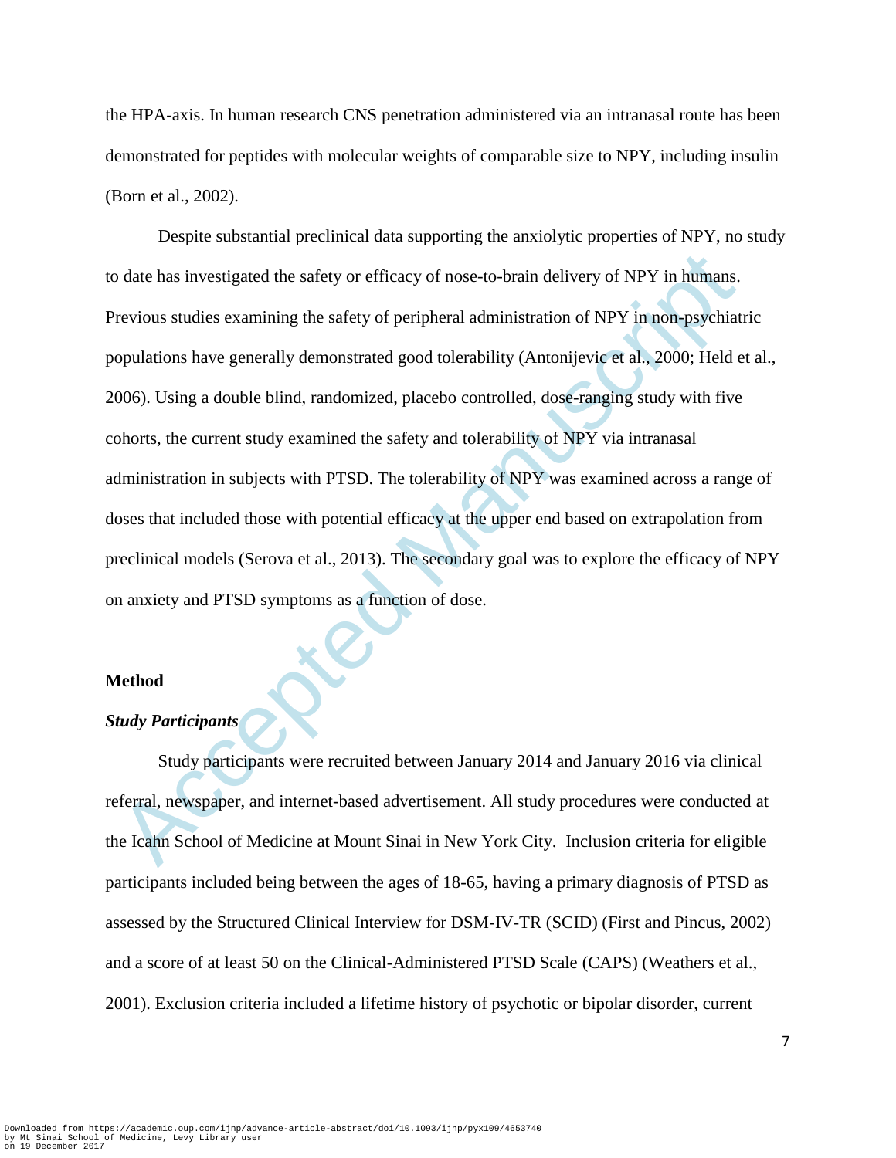the HPA-axis. In human research CNS penetration administered via an intranasal route has been demonstrated for peptides with molecular weights of comparable size to NPY, including insulin (Born et al., 2002).

o date has investigated the safety or efficacy of nose-to-brain delivery of NPY in humans.<br>The transvious studies examining the safety of peripheral administration of NPY in non-psychiat<br>opulations have generally demonstra Despite substantial preclinical data supporting the anxiolytic properties of NPY, no study to date has investigated the safety or efficacy of nose-to-brain delivery of NPY in humans. Previous studies examining the safety of peripheral administration of NPY in non-psychiatric populations have generally demonstrated good tolerability (Antonijevic et al., 2000; Held et al., 2006). Using a double blind, randomized, placebo controlled, dose-ranging study with five cohorts, the current study examined the safety and tolerability of NPY via intranasal administration in subjects with PTSD. The tolerability of NPY was examined across a range of doses that included those with potential efficacy at the upper end based on extrapolation from preclinical models (Serova et al., 2013). The secondary goal was to explore the efficacy of NPY on anxiety and PTSD symptoms as a function of dose.

#### **Method**

## *Study Participants*

Study participants were recruited between January 2014 and January 2016 via clinical referral, newspaper, and internet-based advertisement. All study procedures were conducted at the Icahn School of Medicine at Mount Sinai in New York City. Inclusion criteria for eligible participants included being between the ages of 18-65, having a primary diagnosis of PTSD as assessed by the Structured Clinical Interview for DSM-IV-TR (SCID) (First and Pincus, 2002) and a score of at least 50 on the Clinical-Administered PTSD Scale (CAPS) (Weathers et al., 2001). Exclusion criteria included a lifetime history of psychotic or bipolar disorder, current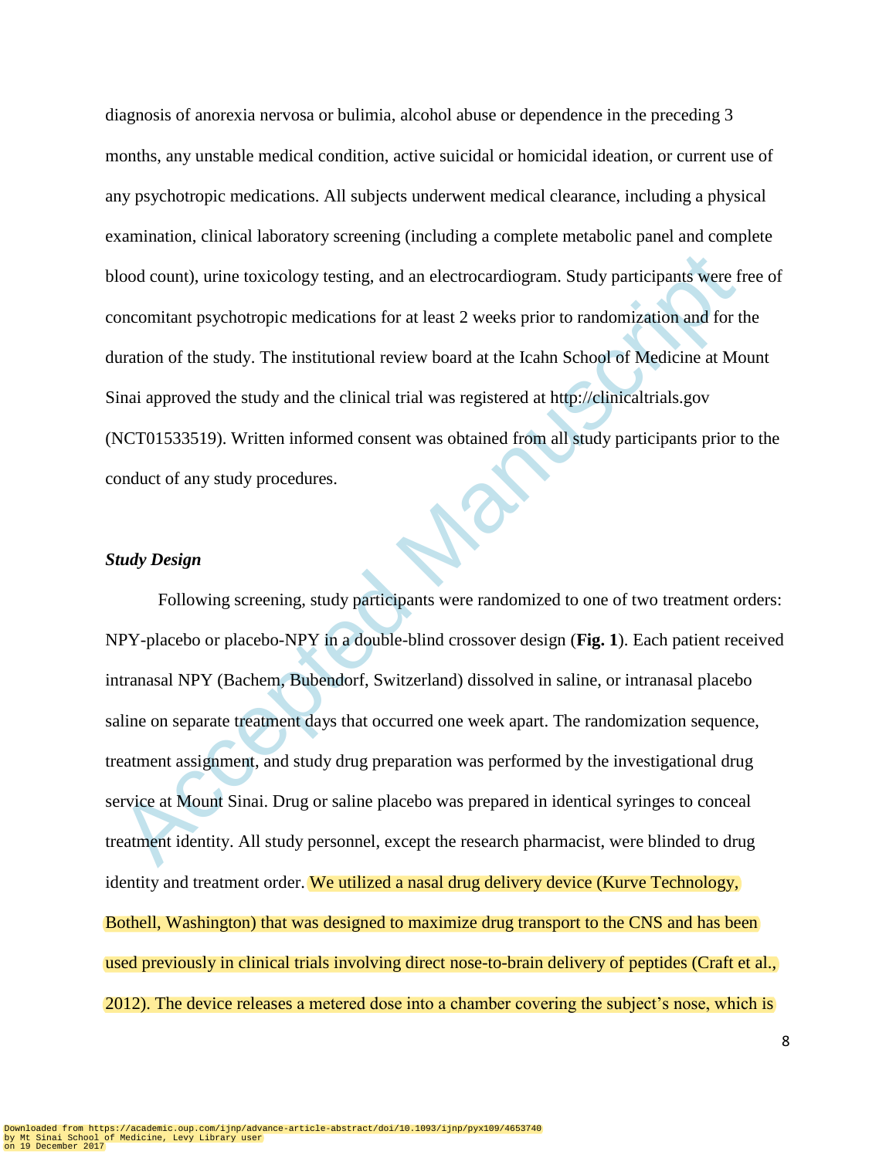diagnosis of anorexia nervosa or bulimia, alcohol abuse or dependence in the preceding 3 months, any unstable medical condition, active suicidal or homicidal ideation, or current use of any psychotropic medications. All subjects underwent medical clearance, including a physical examination, clinical laboratory screening (including a complete metabolic panel and complete blood count), urine toxicology testing, and an electrocardiogram. Study participants were free of concomitant psychotropic medications for at least 2 weeks prior to randomization and for the duration of the study. The institutional review board at the Icahn School of Medicine at Mount Sinai approved the study and the clinical trial was registered at http://clinicaltrials.gov (NCT01533519). Written informed consent was obtained from all study participants prior to the conduct of any study procedures.

#### *Study Design*

France Controllary testing and an electrocardiogram. Study participants were find<br>the moromitant psychotropic medications for at least 2 weeks prior to randomization and for the<br>turation of the study. The institutional rev Following screening, study participants were randomized to one of two treatment orders: NPY-placebo or placebo-NPY in a double-blind crossover design (**Fig. 1**). Each patient received intranasal NPY (Bachem, Bubendorf, Switzerland) dissolved in saline, or intranasal placebo saline on separate treatment days that occurred one week apart. The randomization sequence, treatment assignment, and study drug preparation was performed by the investigational drug service at Mount Sinai. Drug or saline placebo was prepared in identical syringes to conceal treatment identity. All study personnel, except the research pharmacist, were blinded to drug identity and treatment order. We utilized a nasal drug delivery device (Kurve Technology, Bothell, Washington) that was designed to maximize drug transport to the CNS and has been used previously in clinical trials involving direct nose-to-brain delivery of peptides (Craft et al., 2012). The device releases a metered dose into a chamber covering the subject's nose, which is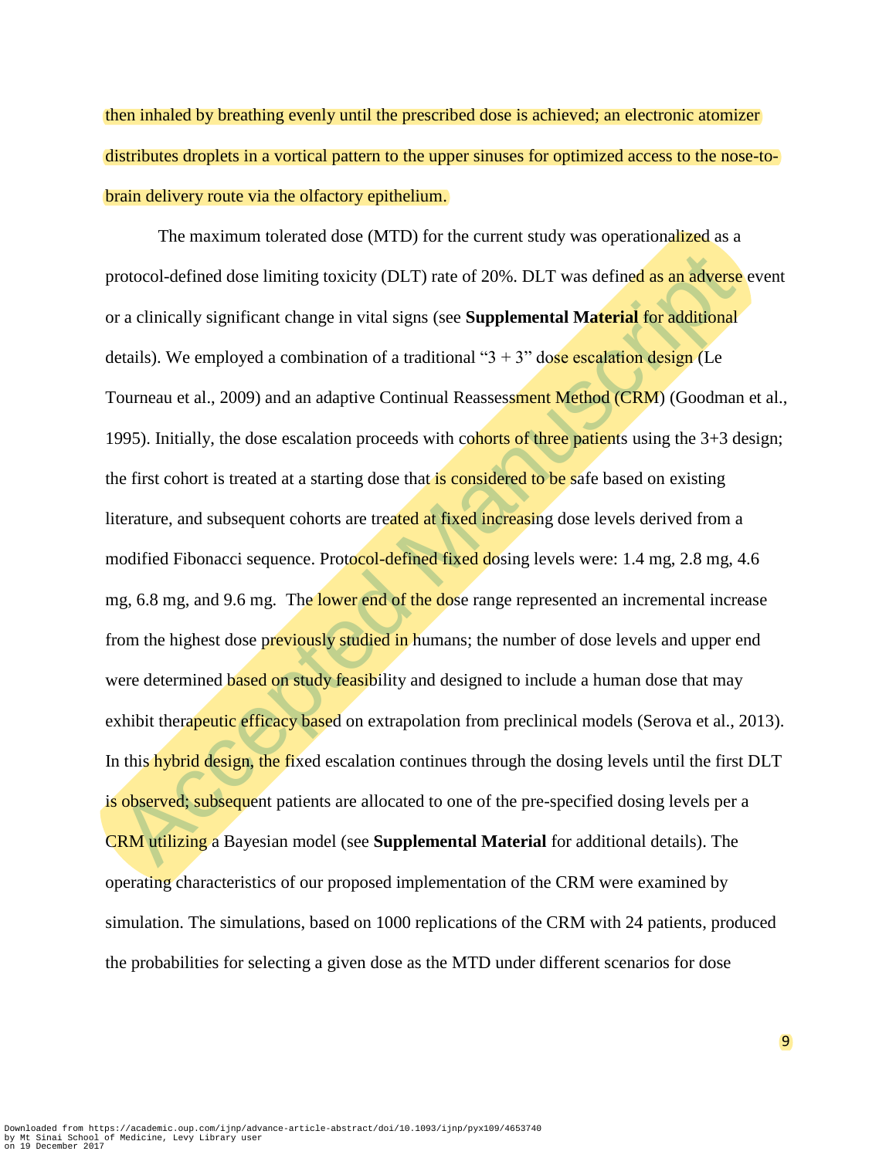then inhaled by breathing evenly until the prescribed dose is achieved; an electronic atomizer distributes droplets in a vortical pattern to the upper sinuses for optimized access to the nose-tobrain delivery route via the olfactory epithelium.

rotocol-defined dose limiting toxicity (DLT) rate of 20%. DLT was defined as an adverse<br>r a clinically significant change in vital signs (see **Supplemental Material for additional**<br>etails). We employed a combination of a t The maximum tolerated dose (MTD) for the current study was operationalized as a protocol-defined dose limiting toxicity (DLT) rate of 20%. DLT was defined as an adverse event or a clinically significant change in vital signs (see **Supplemental Material** for additional details). We employed a combination of a traditional " $3 + 3$ " dose escalation design (Le Tourneau et al., 2009) and an adaptive Continual Reassessment Method (CRM) (Goodman et al., 1995). Initially, the dose escalation proceeds with cohorts of three patients using the  $3+3$  design; the first cohort is treated at a starting dose that is considered to be safe based on existing literature, and subsequent cohorts are treated at fixed increasing dose levels derived from a modified Fibonacci sequence. Protocol-defined fixed dosing levels were: 1.4 mg, 2.8 mg, 4.6 mg, 6.8 mg, and 9.6 mg. The lower end of the dose range represented an incremental increase from the highest dose previously studied in humans; the number of dose levels and upper end were determined based on study feasibility and designed to include a human dose that may exhibit therapeutic efficacy based on extrapolation from preclinical models (Serova et al., 2013). In this hybrid design, the fixed escalation continues through the dosing levels until the first DLT is observed; subsequent patients are allocated to one of the pre-specified dosing levels per a CRM utilizing a Bayesian model (see **Supplemental Material** for additional details). The operating characteristics of our proposed implementation of the CRM were examined by simulation. The simulations, based on 1000 replications of the CRM with 24 patients, produced the probabilities for selecting a given dose as the MTD under different scenarios for dose

Downloaded from https://academic.oup.com/ijnp/advance-article-abstract/doi/10.1093/ijnp/pyx109/4653740 by Mt Sinai School of Medicine, Levy Library user on 19 December 2017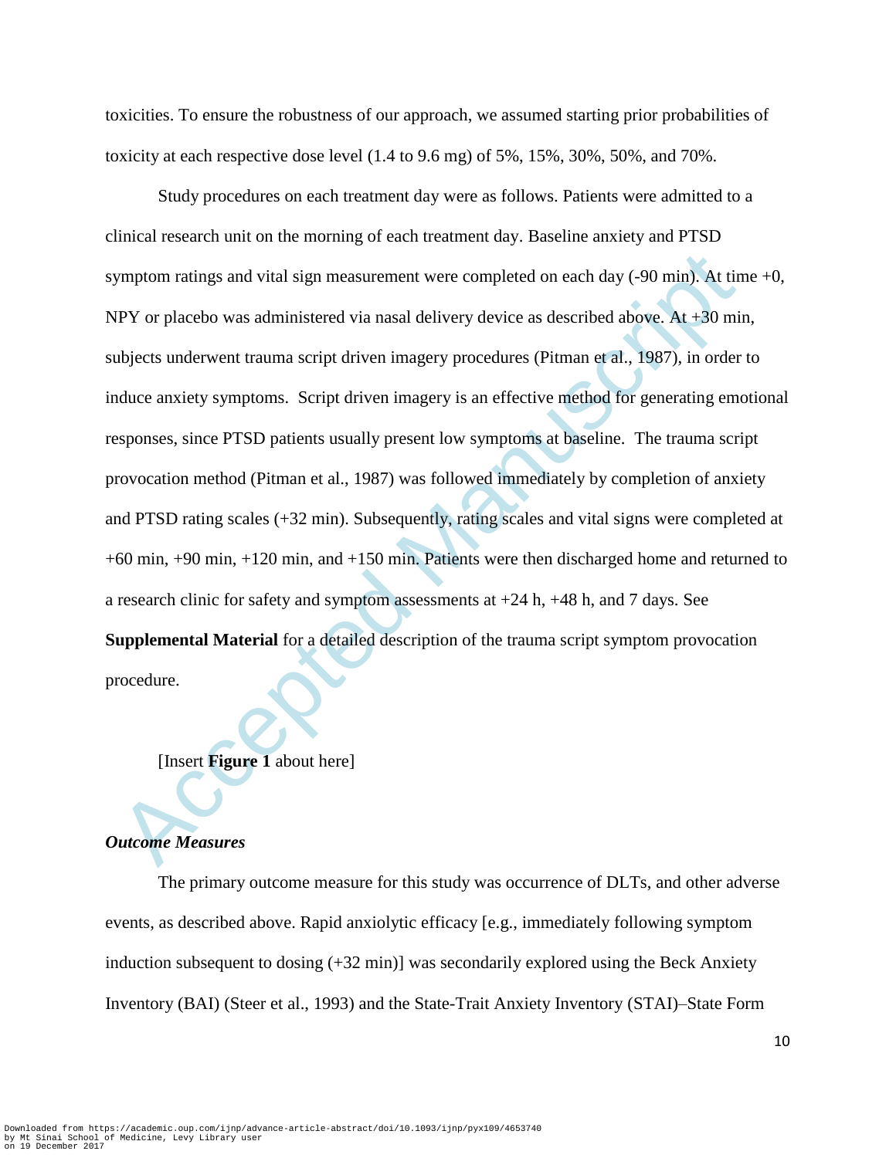toxicities. To ensure the robustness of our approach, we assumed starting prior probabilities of toxicity at each respective dose level (1.4 to 9.6 mg) of 5%, 15%, 30%, 50%, and 70%.

wmptom ratings and vital sign measurement were completed on each day (-90 min). At times<br>IPY or placebo was administered via nasal delivery device as described above. At +30 min<br>bijects underwent trauma script driven image Study procedures on each treatment day were as follows. Patients were admitted to a clinical research unit on the morning of each treatment day. Baseline anxiety and PTSD symptom ratings and vital sign measurement were completed on each day  $(-90 \text{ min})$ . At time  $+0$ , NPY or placebo was administered via nasal delivery device as described above. At +30 min, subjects underwent trauma script driven imagery procedures (Pitman et al., 1987), in order to induce anxiety symptoms. Script driven imagery is an effective method for generating emotional responses, since PTSD patients usually present low symptoms at baseline. The trauma script provocation method (Pitman et al., 1987) was followed immediately by completion of anxiety and PTSD rating scales (+32 min). Subsequently, rating scales and vital signs were completed at +60 min, +90 min, +120 min, and +150 min. Patients were then discharged home and returned to a research clinic for safety and symptom assessments at +24 h, +48 h, and 7 days. See **Supplemental Material** for a detailed description of the trauma script symptom provocation procedure.

[Insert **Figure 1** about here]

## *Outcome Measures*

The primary outcome measure for this study was occurrence of DLTs, and other adverse events, as described above. Rapid anxiolytic efficacy [e.g., immediately following symptom induction subsequent to dosing (+32 min)] was secondarily explored using the Beck Anxiety Inventory (BAI) (Steer et al., 1993) and the State-Trait Anxiety Inventory (STAI)–State Form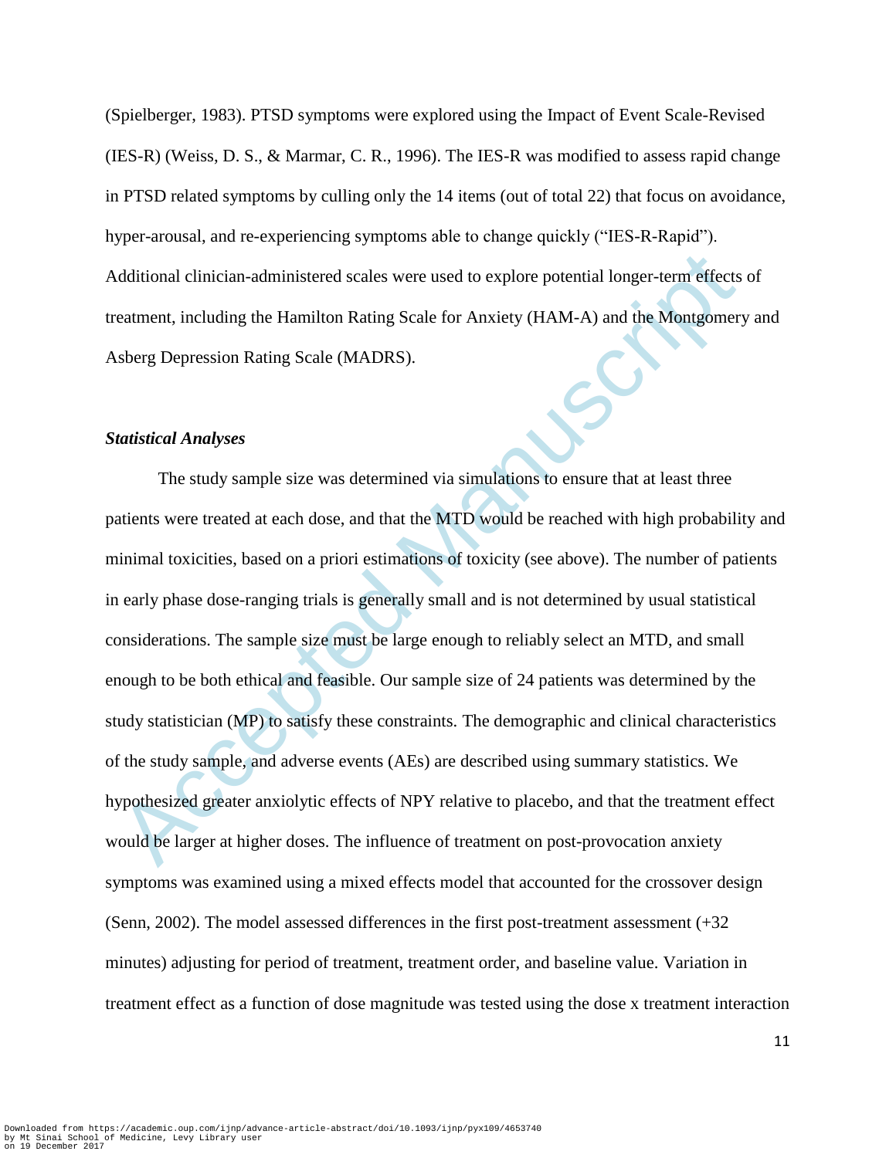(Spielberger, 1983). PTSD symptoms were explored using the Impact of Event Scale-Revised (IES-R) (Weiss, D. S., & Marmar, C. R., 1996). The IES-R was modified to assess rapid change in PTSD related symptoms by culling only the 14 items (out of total 22) that focus on avoidance, hyper-arousal, and re-experiencing symptoms able to change quickly ("IES-R-Rapid"). Additional clinician-administered scales were used to explore potential longer-term effects of treatment, including the Hamilton Rating Scale for Anxiety (HAM-A) and the Montgomery and Asberg Depression Rating Scale (MADRS).

#### *Statistical Analyses*

dditional clinician-administered scales were used to explore potential longer-term effects<br>eatment, including the Hamilton Rating Scale for Anxiety (HAM-A) and the Montgomery<br>sberg Depression Rating Scale (MADRS).<br>tatistic The study sample size was determined via simulations to ensure that at least three patients were treated at each dose, and that the MTD would be reached with high probability and minimal toxicities, based on a priori estimations of toxicity (see above). The number of patients in early phase dose-ranging trials is generally small and is not determined by usual statistical considerations. The sample size must be large enough to reliably select an MTD, and small enough to be both ethical and feasible. Our sample size of 24 patients was determined by the study statistician (MP) to satisfy these constraints. The demographic and clinical characteristics of the study sample, and adverse events (AEs) are described using summary statistics. We hypothesized greater anxiolytic effects of NPY relative to placebo, and that the treatment effect would be larger at higher doses. The influence of treatment on post-provocation anxiety symptoms was examined using a mixed effects model that accounted for the crossover design (Senn, 2002). The model assessed differences in the first post-treatment assessment (+32 minutes) adjusting for period of treatment, treatment order, and baseline value. Variation in treatment effect as a function of dose magnitude was tested using the dose x treatment interaction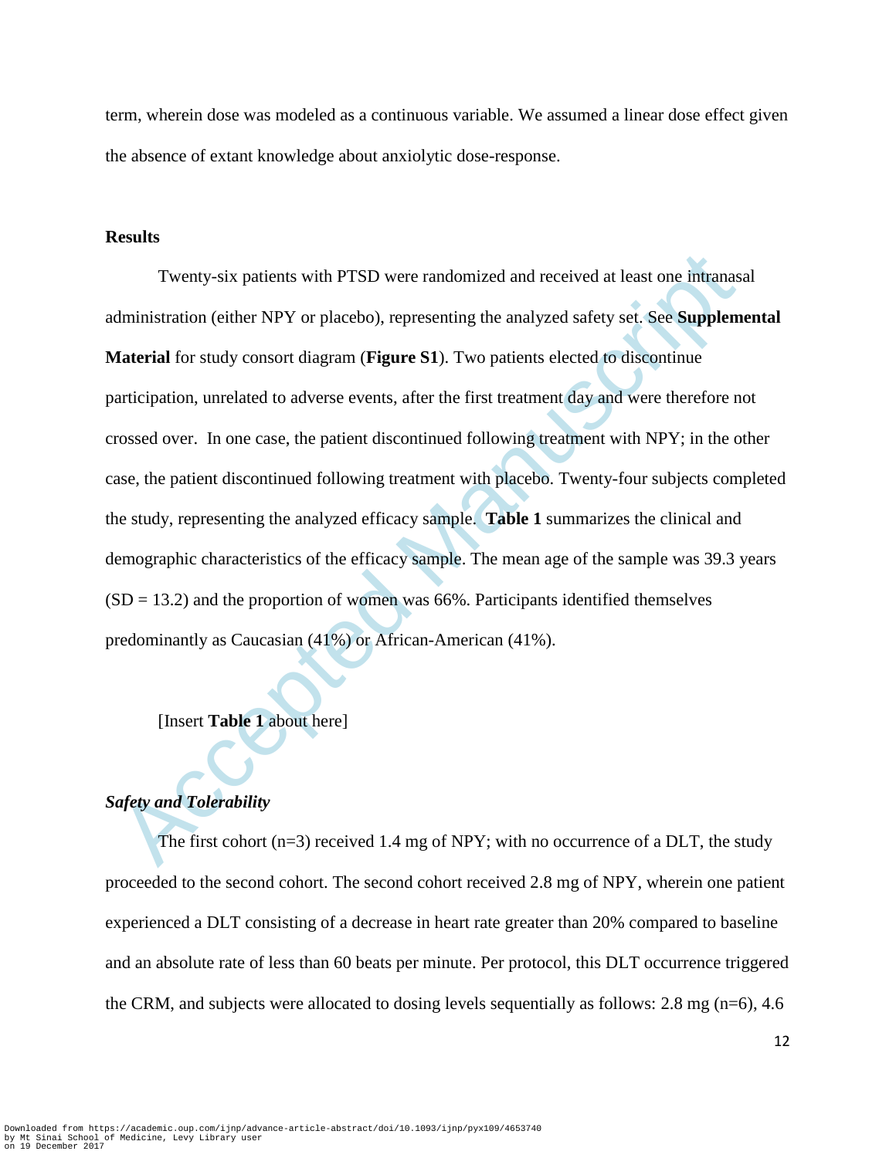term, wherein dose was modeled as a continuous variable. We assumed a linear dose effect given the absence of extant knowledge about anxiolytic dose-response.

#### **Results**

Twenty-six patients with PTSD were randomized and received at least one intranass<br>dministration (either NPY or placebo), representing the analyzed safety set. See **Supplem**<br>daterial for study consort diagram (Figure S1). Twenty-six patients with PTSD were randomized and received at least one intranasal administration (either NPY or placebo), representing the analyzed safety set. See **Supplemental Material** for study consort diagram (**Figure S1**). Two patients elected to discontinue participation, unrelated to adverse events, after the first treatment day and were therefore not crossed over. In one case, the patient discontinued following treatment with NPY; in the other case, the patient discontinued following treatment with placebo. Twenty-four subjects completed the study, representing the analyzed efficacy sample. **Table 1** summarizes the clinical and demographic characteristics of the efficacy sample. The mean age of the sample was 39.3 years  $(SD = 13.2)$  and the proportion of women was 66%. Participants identified themselves predominantly as Caucasian (41%) or African-American (41%).

[Insert **Table 1** about here]

#### *Safety and Tolerability*

The first cohort  $(n=3)$  received 1.4 mg of NPY; with no occurrence of a DLT, the study proceeded to the second cohort. The second cohort received 2.8 mg of NPY, wherein one patient experienced a DLT consisting of a decrease in heart rate greater than 20% compared to baseline and an absolute rate of less than 60 beats per minute. Per protocol, this DLT occurrence triggered the CRM, and subjects were allocated to dosing levels sequentially as follows: 2.8 mg  $(n=6)$ , 4.6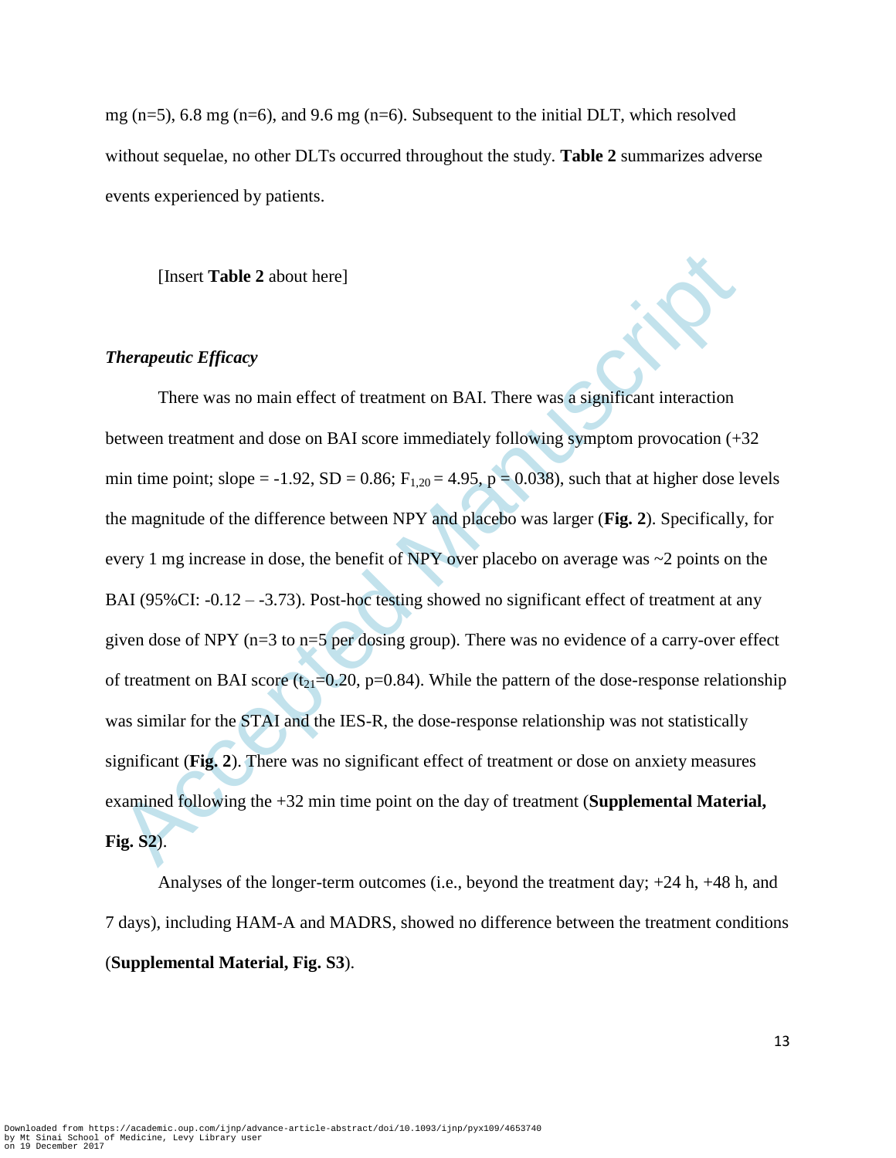mg  $(n=5)$ , 6.8 mg  $(n=6)$ , and 9.6 mg  $(n=6)$ . Subsequent to the initial DLT, which resolved without sequelae, no other DLTs occurred throughout the study. **Table 2** summarizes adverse events experienced by patients.

[Insert **Table 2** about here]

#### *Therapeutic Efficacy*

[Insert Table 2 about here]<br> *Merapeutic Efficacy*<br>
There was no main effect of treatment on BAI. There was a significant interaction<br>
etween treatment and dose on BAI score immediately following symptom provocation (+:<br> There was no main effect of treatment on BAI. There was a significant interaction between treatment and dose on BAI score immediately following symptom provocation (+32 min time point; slope = -1.92, SD = 0.86;  $F_{1,20}$  = 4.95, p = 0.038), such that at higher dose levels the magnitude of the difference between NPY and placebo was larger (**Fig. 2**). Specifically, for every 1 mg increase in dose, the benefit of NPY over placebo on average was ~2 points on the BAI (95%CI: -0.12 – -3.73). Post-hoc testing showed no significant effect of treatment at any given dose of NPY (n=3 to n=5 per dosing group). There was no evidence of a carry-over effect of treatment on BAI score ( $t_{21}=0.20$ , p=0.84). While the pattern of the dose-response relationship was similar for the STAI and the IES-R, the dose-response relationship was not statistically significant (**Fig. 2**). There was no significant effect of treatment or dose on anxiety measures examined following the +32 min time point on the day of treatment (**Supplemental Material, Fig. S2**).

Analyses of the longer-term outcomes (i.e., beyond the treatment day; +24 h, +48 h, and 7 days), including HAM-A and MADRS, showed no difference between the treatment conditions (**Supplemental Material, Fig. S3**).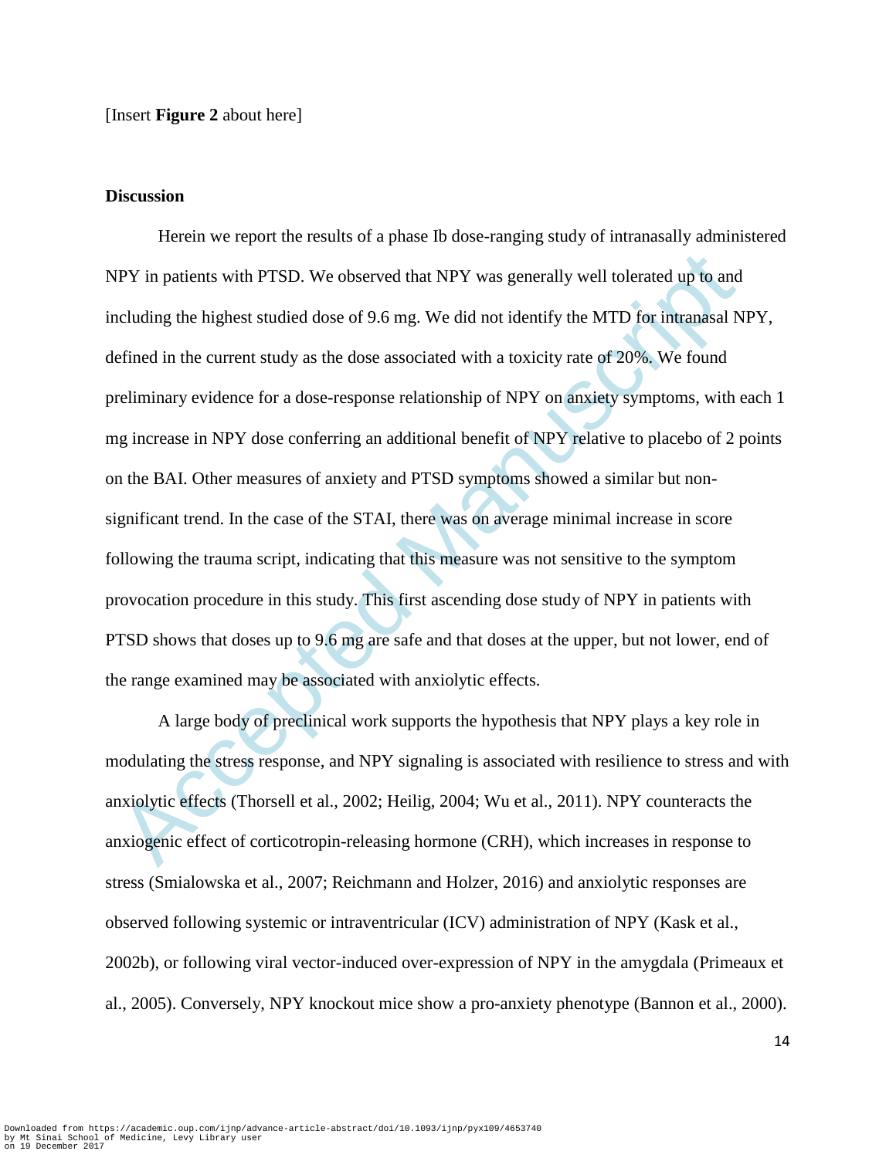#### **Discussion**

(IPY in patients with PTSD. We observed that NPY was generally well tolerated up to and<br>ncluding the highest studied dose of 9.6 mg. We did not identify the MTD for intranssal N<br>efined in the current study as the dose asso Herein we report the results of a phase Ib dose-ranging study of intranasally administered NPY in patients with PTSD. We observed that NPY was generally well tolerated up to and including the highest studied dose of 9.6 mg. We did not identify the MTD for intranasal NPY, defined in the current study as the dose associated with a toxicity rate of 20%. We found preliminary evidence for a dose-response relationship of NPY on anxiety symptoms, with each 1 mg increase in NPY dose conferring an additional benefit of NPY relative to placebo of 2 points on the BAI. Other measures of anxiety and PTSD symptoms showed a similar but nonsignificant trend. In the case of the STAI, there was on average minimal increase in score following the trauma script, indicating that this measure was not sensitive to the symptom provocation procedure in this study. This first ascending dose study of NPY in patients with PTSD shows that doses up to 9.6 mg are safe and that doses at the upper, but not lower, end of the range examined may be associated with anxiolytic effects.

A large body of preclinical work supports the hypothesis that NPY plays a key role in modulating the stress response, and NPY signaling is associated with resilience to stress and with anxiolytic effects (Thorsell et al., 2002; Heilig, 2004; Wu et al., 2011). NPY counteracts the anxiogenic effect of corticotropin-releasing hormone (CRH), which increases in response to stress (Smialowska et al., 2007; Reichmann and Holzer, 2016) and anxiolytic responses are observed following systemic or intraventricular (ICV) administration of NPY (Kask et al., 2002b), or following viral vector-induced over-expression of NPY in the amygdala (Primeaux et al., 2005). Conversely, NPY knockout mice show a pro-anxiety phenotype (Bannon et al., 2000).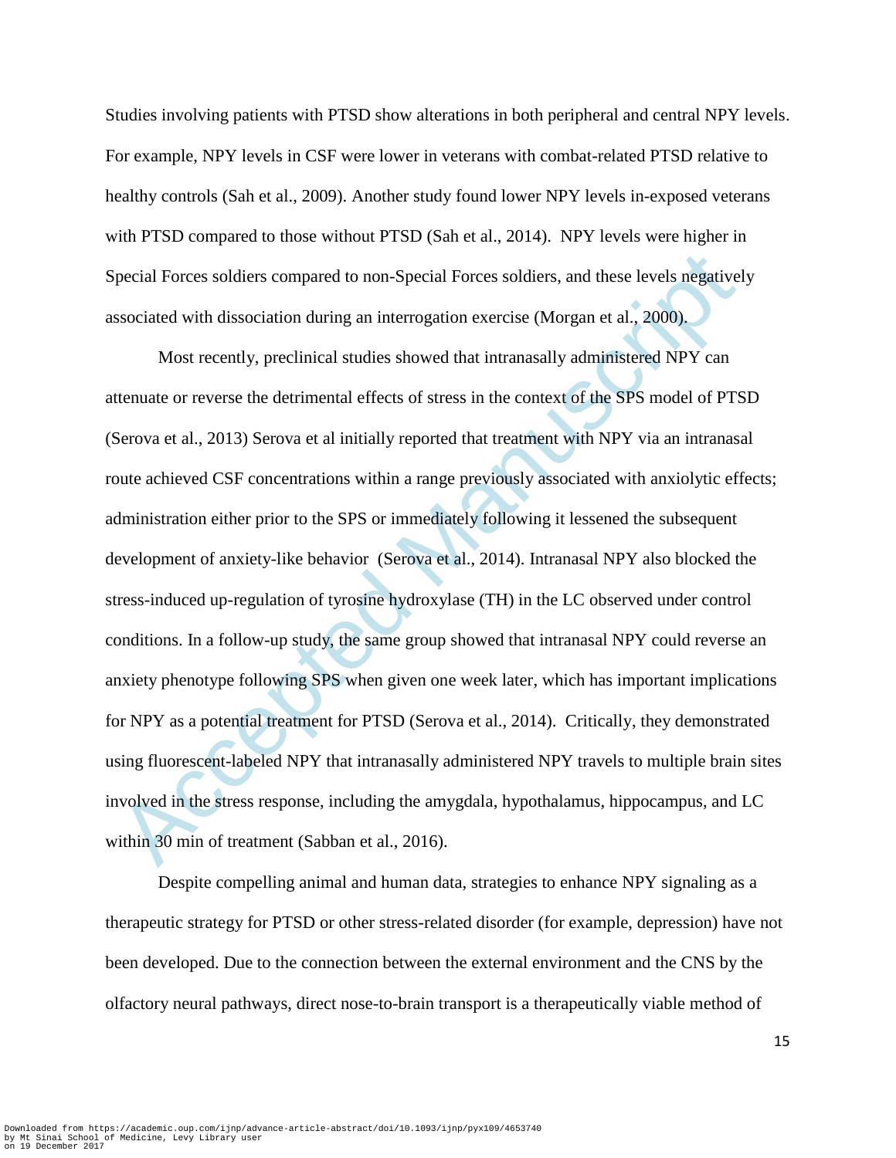Studies involving patients with PTSD show alterations in both peripheral and central NPY levels. For example, NPY levels in CSF were lower in veterans with combat-related PTSD relative to healthy controls (Sah et al., 2009). Another study found lower NPY levels in-exposed veterans with PTSD compared to those without PTSD (Sah et al., 2014). NPY levels were higher in Special Forces soldiers compared to non-Special Forces soldiers, and these levels negatively associated with dissociation during an interrogation exercise (Morgan et al., 2000).

pecial Forces soldiers compared to non-Special Forces soldiers, and these levels negativel<br>sociated with dissociation during an interrogation exercise (Morgan et al., 2000).<br>Most recently, preclinical studies showed that i Most recently, preclinical studies showed that intranasally administered NPY can attenuate or reverse the detrimental effects of stress in the context of the SPS model of PTSD (Serova et al., 2013) Serova et al initially reported that treatment with NPY via an intranasal route achieved CSF concentrations within a range previously associated with anxiolytic effects; administration either prior to the SPS or immediately following it lessened the subsequent development of anxiety-like behavior (Serova et al., 2014). Intranasal NPY also blocked the stress-induced up-regulation of tyrosine hydroxylase (TH) in the LC observed under control conditions. In a follow-up study, the same group showed that intranasal NPY could reverse an anxiety phenotype following SPS when given one week later, which has important implications for NPY as a potential treatment for PTSD (Serova et al., 2014). Critically, they demonstrated using fluorescent-labeled NPY that intranasally administered NPY travels to multiple brain sites involved in the stress response, including the amygdala, hypothalamus, hippocampus, and LC within 30 min of treatment (Sabban et al., 2016).

Despite compelling animal and human data, strategies to enhance NPY signaling as a therapeutic strategy for PTSD or other stress-related disorder (for example, depression) have not been developed. Due to the connection between the external environment and the CNS by the olfactory neural pathways, direct nose-to-brain transport is a therapeutically viable method of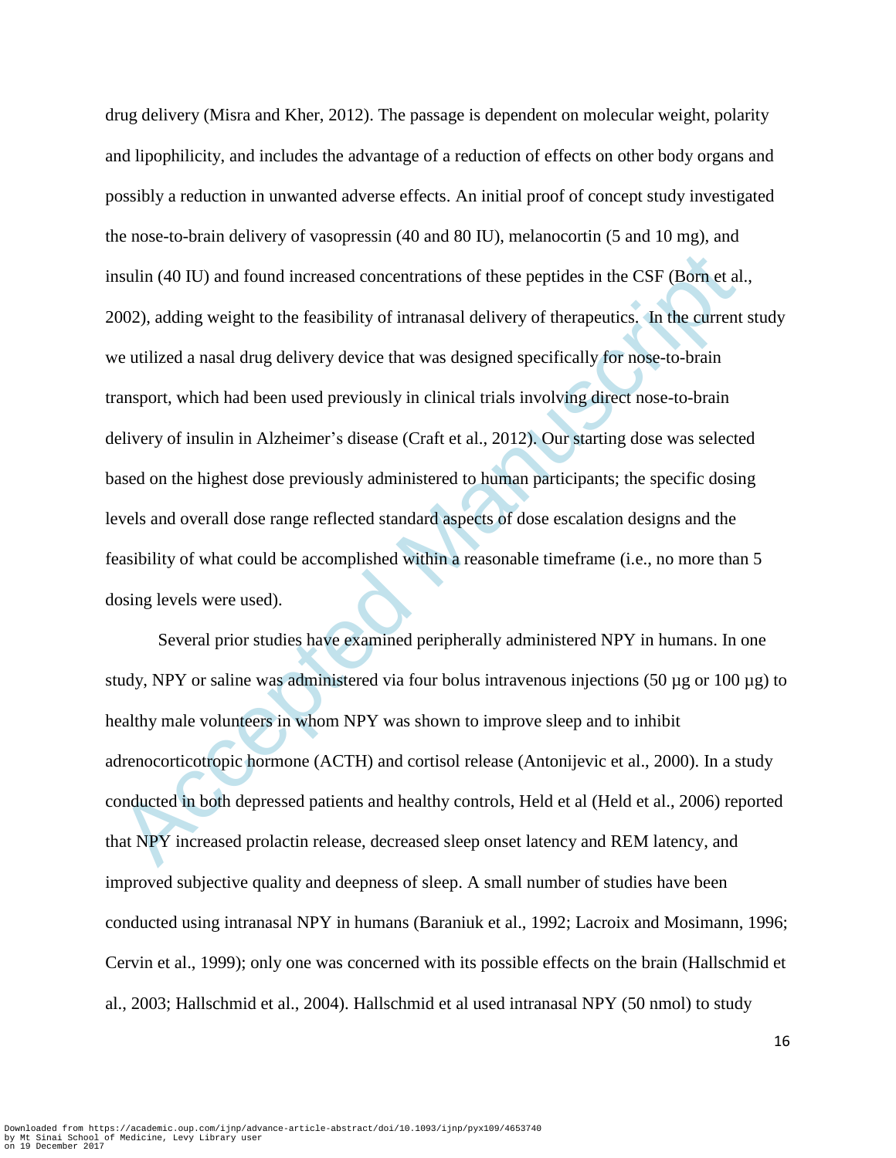nsulin (40 IU) and found increased concentrations of these peptides in the CSF (Born et al<br>002), adding weight to the feasibility of intranasal delivery of therapeutics. In the current<br>e utilized a nasal drug delivery devi drug delivery (Misra and Kher, 2012). The passage is dependent on molecular weight, polarity and lipophilicity, and includes the advantage of a reduction of effects on other body organs and possibly a reduction in unwanted adverse effects. An initial proof of concept study investigated the nose-to-brain delivery of vasopressin (40 and 80 IU), melanocortin (5 and 10 mg), and insulin (40 IU) and found increased concentrations of these peptides in the CSF (Born et al., 2002), adding weight to the feasibility of intranasal delivery of therapeutics. In the current study we utilized a nasal drug delivery device that was designed specifically for nose-to-brain transport, which had been used previously in clinical trials involving direct nose-to-brain delivery of insulin in Alzheimer's disease (Craft et al., 2012). Our starting dose was selected based on the highest dose previously administered to human participants; the specific dosing levels and overall dose range reflected standard aspects of dose escalation designs and the feasibility of what could be accomplished within a reasonable timeframe (i.e., no more than 5 dosing levels were used).

Several prior studies have examined peripherally administered NPY in humans. In one study, NPY or saline was administered via four bolus intravenous injections (50 µg or 100 µg) to healthy male volunteers in whom NPY was shown to improve sleep and to inhibit adrenocorticotropic hormone (ACTH) and cortisol release (Antonijevic et al., 2000). In a study conducted in both depressed patients and healthy controls, Held et al (Held et al., 2006) reported that NPY increased prolactin release, decreased sleep onset latency and REM latency, and improved subjective quality and deepness of sleep. A small number of studies have been conducted using intranasal NPY in humans (Baraniuk et al., 1992; Lacroix and Mosimann, 1996; Cervin et al., 1999); only one was concerned with its possible effects on the brain (Hallschmid et al., 2003; Hallschmid et al., 2004). Hallschmid et al used intranasal NPY (50 nmol) to study

16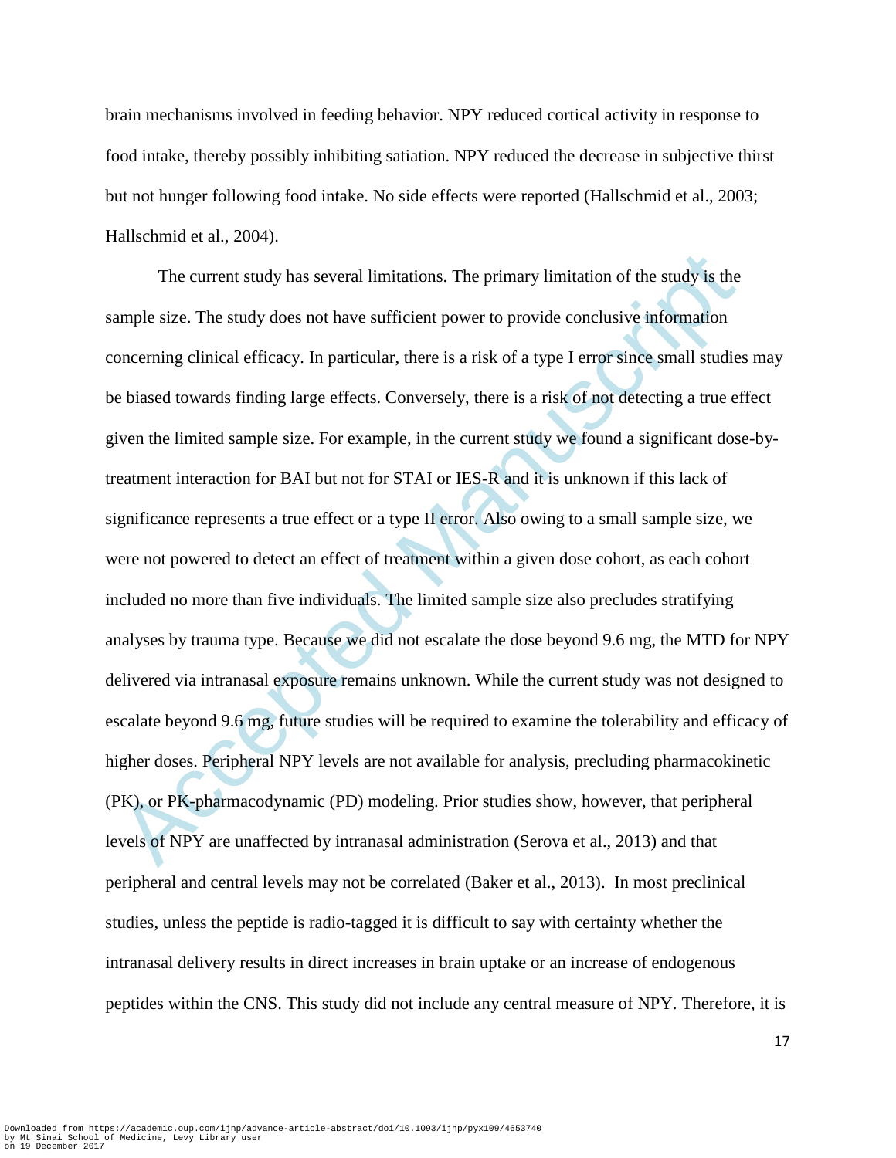brain mechanisms involved in feeding behavior. NPY reduced cortical activity in response to food intake, thereby possibly inhibiting satiation. NPY reduced the decrease in subjective thirst but not hunger following food intake. No side effects were reported (Hallschmid et al., 2003; Hallschmid et al., 2004).

The current study has several limitations. The primary limitation of the study is the<br>ample size. The study does not have sufficient power to provide conclusive information<br>oncerning clinical efficacy. In particular, there The current study has several limitations. The primary limitation of the study is the sample size. The study does not have sufficient power to provide conclusive information concerning clinical efficacy. In particular, there is a risk of a type I error since small studies may be biased towards finding large effects. Conversely, there is a risk of not detecting a true effect given the limited sample size. For example, in the current study we found a significant dose-bytreatment interaction for BAI but not for STAI or IES-R and it is unknown if this lack of significance represents a true effect or a type II error. Also owing to a small sample size, we were not powered to detect an effect of treatment within a given dose cohort, as each cohort included no more than five individuals. The limited sample size also precludes stratifying analyses by trauma type. Because we did not escalate the dose beyond 9.6 mg, the MTD for NPY delivered via intranasal exposure remains unknown. While the current study was not designed to escalate beyond 9.6 mg, future studies will be required to examine the tolerability and efficacy of higher doses. Peripheral NPY levels are not available for analysis, precluding pharmacokinetic (PK), or PK-pharmacodynamic (PD) modeling. Prior studies show, however, that peripheral levels of NPY are unaffected by intranasal administration (Serova et al., 2013) and that peripheral and central levels may not be correlated (Baker et al., 2013). In most preclinical studies, unless the peptide is radio-tagged it is difficult to say with certainty whether the intranasal delivery results in direct increases in brain uptake or an increase of endogenous peptides within the CNS. This study did not include any central measure of NPY. Therefore, it is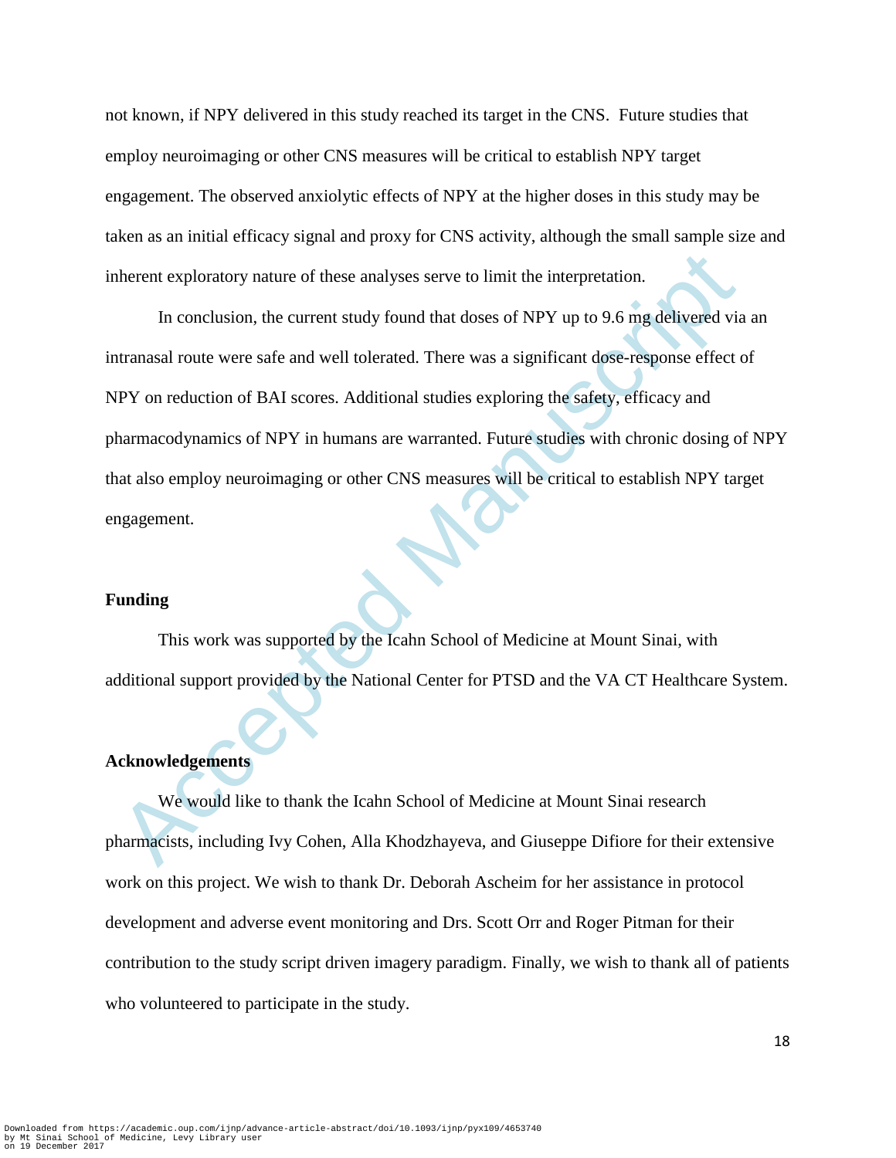not known, if NPY delivered in this study reached its target in the CNS. Future studies that employ neuroimaging or other CNS measures will be critical to establish NPY target engagement. The observed anxiolytic effects of NPY at the higher doses in this study may be taken as an initial efficacy signal and proxy for CNS activity, although the small sample size and inherent exploratory nature of these analyses serve to limit the interpretation.

The interpretation and the season of these analyses serve to limit the interpretation.<br>
In conclusion, the current study found that doses of NPY up to 9.6 mg delivered via<br>
transaal route were safe and well tolerated. Ther In conclusion, the current study found that doses of NPY up to 9.6 mg delivered via an intranasal route were safe and well tolerated. There was a significant dose-response effect of NPY on reduction of BAI scores. Additional studies exploring the safety, efficacy and pharmacodynamics of NPY in humans are warranted. Future studies with chronic dosing of NPY that also employ neuroimaging or other CNS measures will be critical to establish NPY target engagement.

#### **Funding**

This work was supported by the Icahn School of Medicine at Mount Sinai, with additional support provided by the National Center for PTSD and the VA CT Healthcare System.

#### **Acknowledgements**

We would like to thank the Icahn School of Medicine at Mount Sinai research pharmacists, including Ivy Cohen, Alla Khodzhayeva, and Giuseppe Difiore for their extensive work on this project. We wish to thank Dr. Deborah Ascheim for her assistance in protocol development and adverse event monitoring and Drs. Scott Orr and Roger Pitman for their contribution to the study script driven imagery paradigm. Finally, we wish to thank all of patients who volunteered to participate in the study.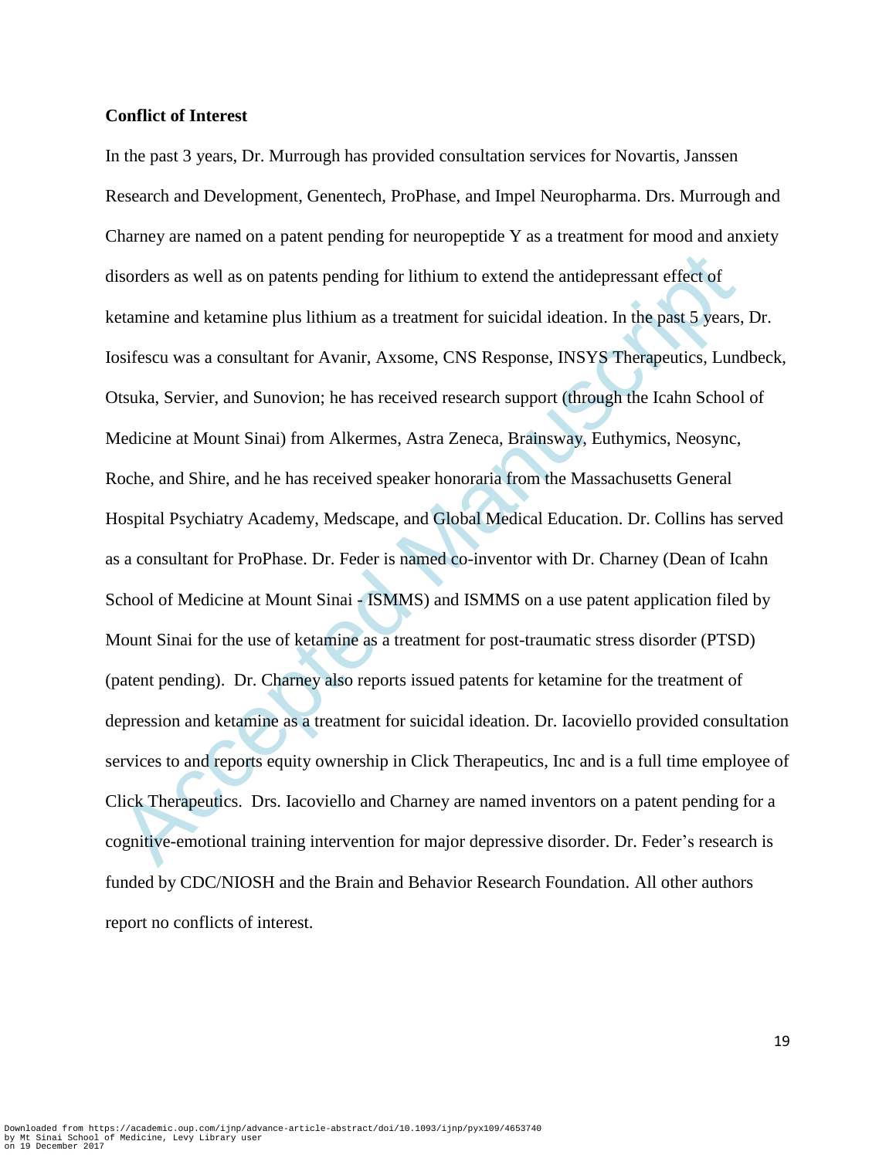#### **Conflict of Interest**

isorders as well as on patents pending for lithium to extend the antidepressant effect of<br>etamine and ketamine plus lithium as a treatment for suicidal ideation. In the past 5 years,<br>sifescu was a consultant for Avanir, Ax In the past 3 years, Dr. Murrough has provided consultation services for Novartis, Janssen Research and Development, Genentech, ProPhase, and Impel Neuropharma. Drs. Murrough and Charney are named on a patent pending for neuropeptide Y as a treatment for mood and anxiety disorders as well as on patents pending for lithium to extend the antidepressant effect of ketamine and ketamine plus lithium as a treatment for suicidal ideation. In the past 5 years, Dr. Iosifescu was a consultant for Avanir, Axsome, CNS Response, INSYS Therapeutics, Lundbeck, Otsuka, Servier, and Sunovion; he has received research support (through the Icahn School of Medicine at Mount Sinai) from Alkermes, Astra Zeneca, Brainsway, Euthymics, Neosync, Roche, and Shire, and he has received speaker honoraria from the Massachusetts General Hospital Psychiatry Academy, Medscape, and Global Medical Education. Dr. Collins has served as a consultant for ProPhase. Dr. Feder is named co-inventor with Dr. Charney (Dean of Icahn School of Medicine at Mount Sinai - ISMMS) and ISMMS on a use patent application filed by Mount Sinai for the use of ketamine as a treatment for post-traumatic stress disorder (PTSD) (patent pending). Dr. Charney also reports issued patents for ketamine for the treatment of depression and ketamine as a treatment for suicidal ideation. Dr. Iacoviello provided consultation services to and reports equity ownership in Click Therapeutics, Inc and is a full time employee of Click Therapeutics. Drs. Iacoviello and Charney are named inventors on a patent pending for a cognitive-emotional training intervention for major depressive disorder. Dr. Feder's research is funded by CDC/NIOSH and the Brain and Behavior Research Foundation. All other authors report no conflicts of interest.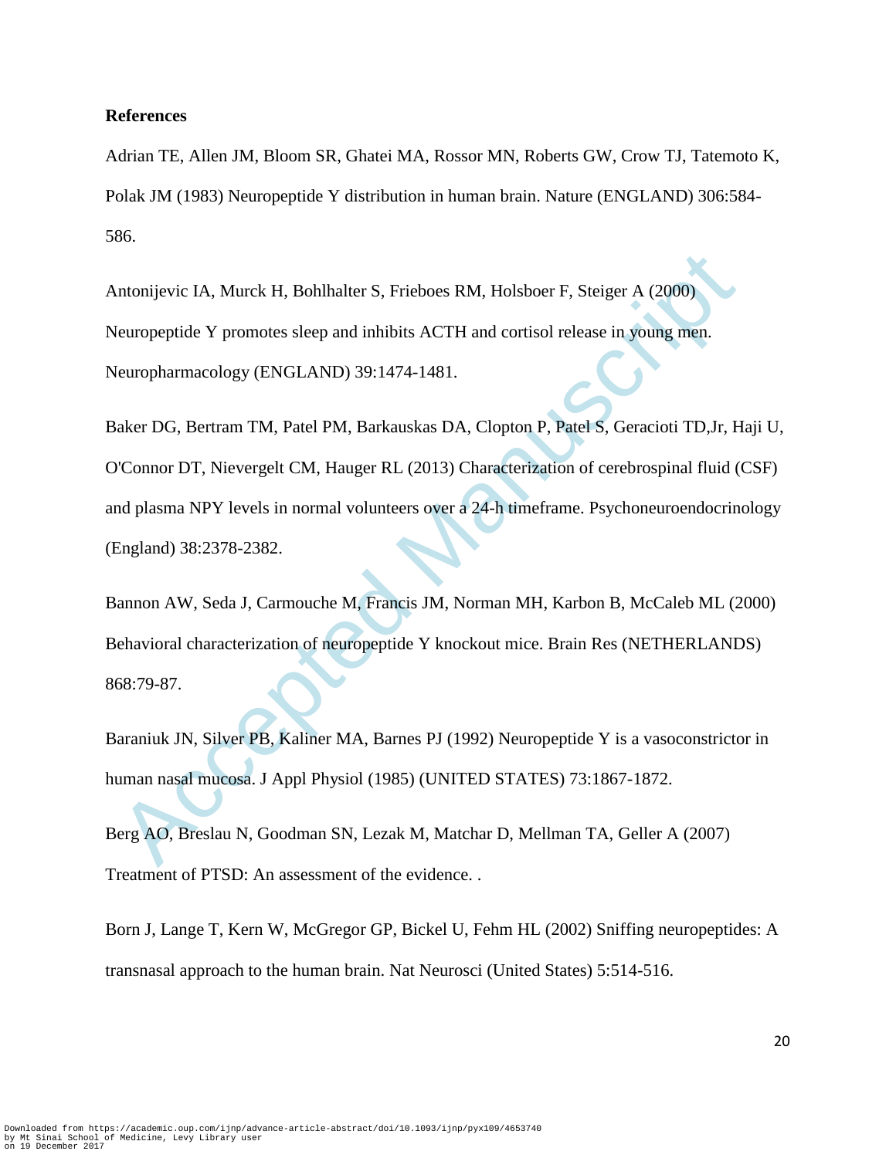#### **References**

Adrian TE, Allen JM, Bloom SR, Ghatei MA, Rossor MN, Roberts GW, Crow TJ, Tatemoto K, Polak JM (1983) Neuropeptide Y distribution in human brain. Nature (ENGLAND) 306:584- 586.

Antonijevic IA, Murck H, Bohlhalter S, Frieboes RM, Holsboer F, Steiger A (2000) Neuropeptide Y promotes sleep and inhibits ACTH and cortisol release in young men. Neuropharmacology (ENGLAND) 39:1474-1481.

Acception II, Murck H, Bohlhalter S, Frieboes RM, Holsboer F, Steiger A (2000)<br>
Meuropeptide Y promotes sleep and inhibits ACTH and cortisol release in young men.<br>
Europharmacology (ENGLAND) 39:1474-1481.<br>
Maker DG, Bertra Baker DG, Bertram TM, Patel PM, Barkauskas DA, Clopton P, Patel S, Geracioti TD,Jr, Haji U, O'Connor DT, Nievergelt CM, Hauger RL (2013) Characterization of cerebrospinal fluid (CSF) and plasma NPY levels in normal volunteers over a 24-h timeframe. Psychoneuroendocrinology (England) 38:2378-2382.

Bannon AW, Seda J, Carmouche M, Francis JM, Norman MH, Karbon B, McCaleb ML (2000) Behavioral characterization of neuropeptide Y knockout mice. Brain Res (NETHERLANDS) 868:79-87.

Baraniuk JN, Silver PB, Kaliner MA, Barnes PJ (1992) Neuropeptide Y is a vasoconstrictor in human nasal mucosa. J Appl Physiol (1985) (UNITED STATES) 73:1867-1872.

Berg AO, Breslau N, Goodman SN, Lezak M, Matchar D, Mellman TA, Geller A (2007) Treatment of PTSD: An assessment of the evidence. .

Born J, Lange T, Kern W, McGregor GP, Bickel U, Fehm HL (2002) Sniffing neuropeptides: A transnasal approach to the human brain. Nat Neurosci (United States) 5:514-516.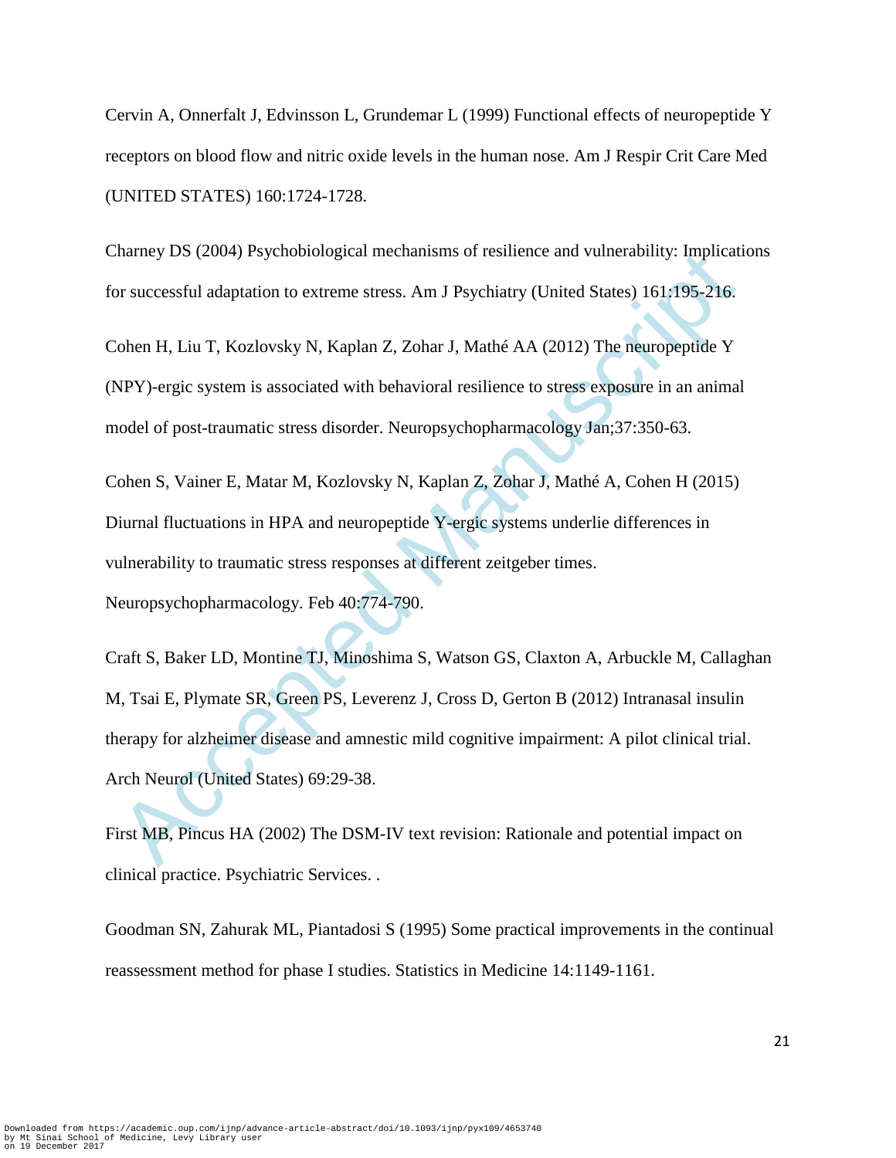Cervin A, Onnerfalt J, Edvinsson L, Grundemar L (1999) Functional effects of neuropeptide Y receptors on blood flow and nitric oxide levels in the human nose. Am J Respir Crit Care Med (UNITED STATES) 160:1724-1728.

Charney DS (2004) Psychobiological mechanisms of resilience and vulnerability: Implications for successful adaptation to extreme stress. Am J Psychiatry (United States) 161:195-216.

Cohen H, Liu T, Kozlovsky N, Kaplan Z, Zohar J, Mathé AA (2012) The neuropeptide Y (NPY)-ergic system is associated with behavioral resilience to stress exposure in an animal model of post-traumatic stress disorder. Neuropsychopharmacology Jan;37:350-63.

Cohen S, Vainer E, Matar M, Kozlovsky N, Kaplan Z, Zohar J, Mathé A, Cohen H (2015) Diurnal fluctuations in HPA and neuropeptide Y-ergic systems underlie differences in vulnerability to traumatic stress responses at different zeitgeber times. Neuropsychopharmacology. Feb 40:774-790.

namey DS (2004) Psychobiological mecnanisms or resinence and vulnerability: implicant<br>or successful adaptation to extreme stress. Am J Psychiatry (United States) 161:195-216.<br>
Schen H, Liu T, Kozlovsky N, Kaplan Z, Zohar J Craft S, Baker LD, Montine TJ, Minoshima S, Watson GS, Claxton A, Arbuckle M, Callaghan M, Tsai E, Plymate SR, Green PS, Leverenz J, Cross D, Gerton B (2012) Intranasal insulin therapy for alzheimer disease and amnestic mild cognitive impairment: A pilot clinical trial. Arch Neurol (United States) 69:29-38.

First MB, Pincus HA (2002) The DSM-IV text revision: Rationale and potential impact on clinical practice. Psychiatric Services. .

Goodman SN, Zahurak ML, Piantadosi S (1995) Some practical improvements in the continual reassessment method for phase I studies. Statistics in Medicine 14:1149-1161.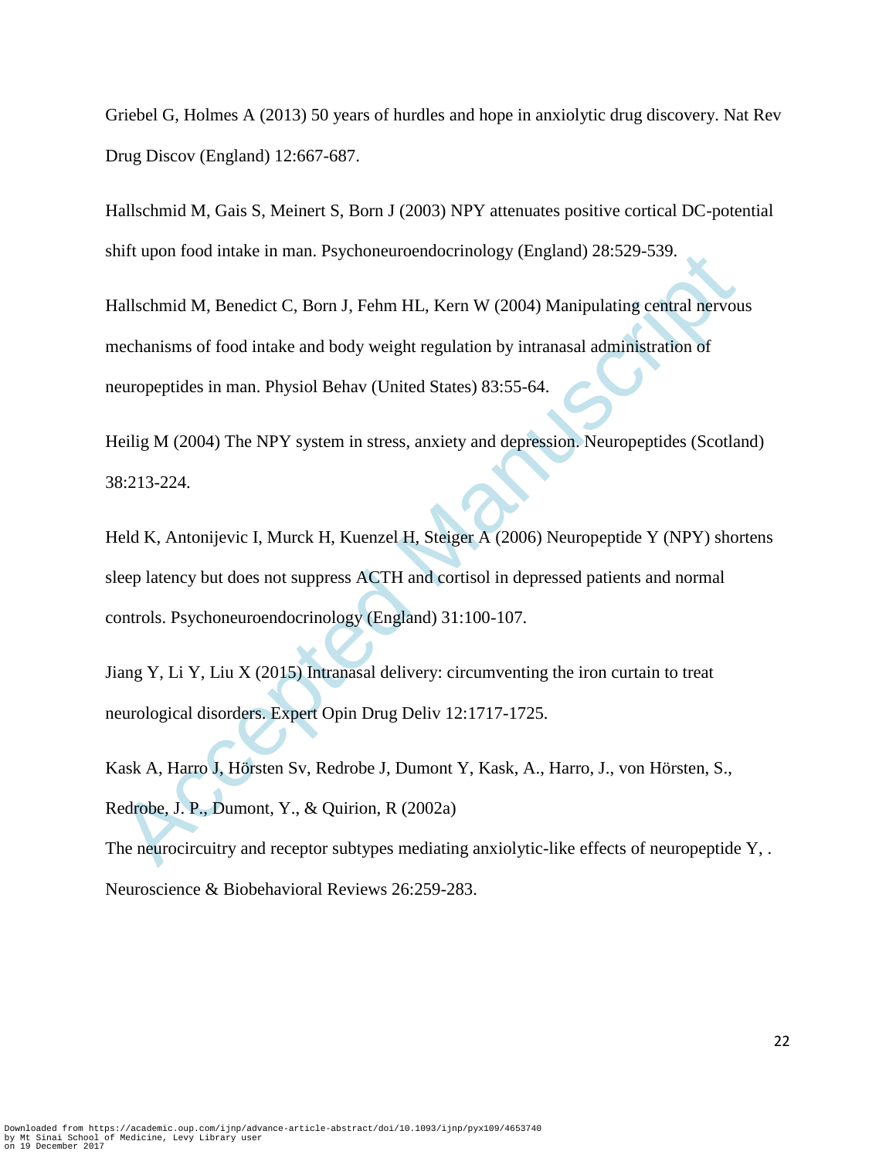Griebel G, Holmes A (2013) 50 years of hurdles and hope in anxiolytic drug discovery. Nat Rev Drug Discov (England) 12:667-687.

Hallschmid M, Gais S, Meinert S, Born J (2003) NPY attenuates positive cortical DC-potential shift upon food intake in man. Psychoneuroendocrinology (England) 28:529-539.

Hallschmid M, Benedict C, Born J, Fehm HL, Kern W (2004) Manipulating central nervous mechanisms of food intake and body weight regulation by intranasal administration of neuropeptides in man. Physiol Behav (United States) 83:55-64.

Heilig M (2004) The NPY system in stress, anxiety and depression. Neuropeptides (Scotland) 38:213-224.

ntr upon rood intake in man. Psychoneuroendocrinology (England) 28:529-539.<br>
Iallschmid M, Benedict C, Born J, Fehm HL, Kern W (2004) Manipulating central nervou<br>
nechanisms of food intake and body weight regulation by int Held K, Antonijevic I, Murck H, Kuenzel H, Steiger A (2006) Neuropeptide Y (NPY) shortens sleep latency but does not suppress ACTH and cortisol in depressed patients and normal controls. Psychoneuroendocrinology (England) 31:100-107.

Jiang Y, Li Y, Liu X (2015) Intranasal delivery: circumventing the iron curtain to treat neurological disorders. Expert Opin Drug Deliv 12:1717-1725.

Kask A, Harro J, Hörsten Sv, Redrobe J, Dumont Y, Kask, A., Harro, J., von Hörsten, S., Redrobe, J. P., Dumont, Y., & Quirion, R (2002a)

The neurocircuitry and receptor subtypes mediating anxiolytic-like effects of neuropeptide Y, . Neuroscience & Biobehavioral Reviews 26:259-283.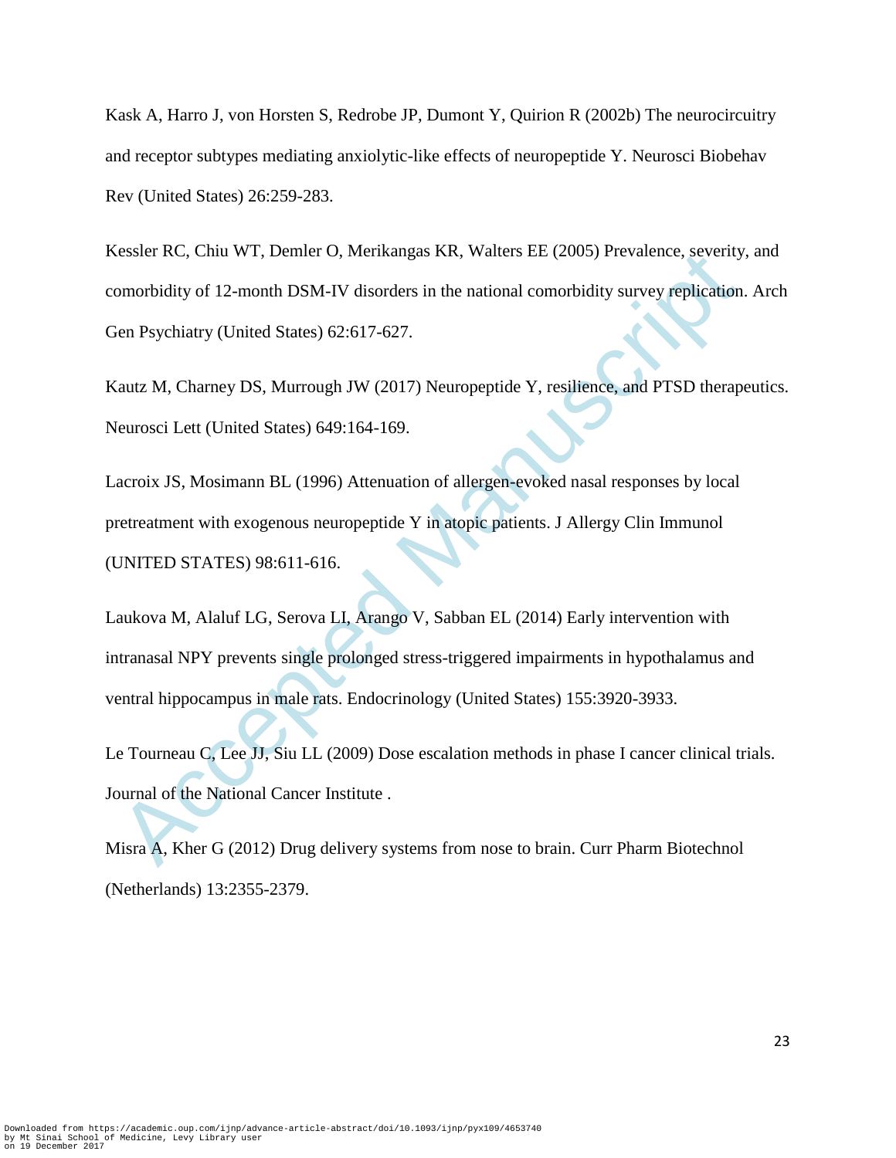Kask A, Harro J, von Horsten S, Redrobe JP, Dumont Y, Quirion R (2002b) The neurocircuitry and receptor subtypes mediating anxiolytic-like effects of neuropeptide Y. Neurosci Biobehav Rev (United States) 26:259-283.

Kessler RC, Chiu WT, Demler O, Merikangas KR, Walters EE (2005) Prevalence, severity, and comorbidity of 12-month DSM-IV disorders in the national comorbidity survey replication. Arch Gen Psychiatry (United States) 62:617-627.

Kautz M, Charney DS, Murrough JW (2017) Neuropeptide Y, resilience, and PTSD therapeutics. Neurosci Lett (United States) 649:164-169.

Lacroix JS, Mosimann BL (1996) Attenuation of allergen-evoked nasal responses by local pretreatment with exogenous neuropeptide Y in atopic patients. J Allergy Clin Immunol (UNITED STATES) 98:611-616.

essier RC, CmI W I, Demier O, Menkangas KK, Watters EE (2005) Prevalence, severity<br>omorbidity of 12-month DSM-IV disorders in the national comorbidity survey replication<br>ien Psychiatry (United States) 62:617-627.<br>aautz M, Laukova M, Alaluf LG, Serova LI, Arango V, Sabban EL (2014) Early intervention with intranasal NPY prevents single prolonged stress-triggered impairments in hypothalamus and ventral hippocampus in male rats. Endocrinology (United States) 155:3920-3933.

Le Tourneau C, Lee JJ, Siu LL (2009) Dose escalation methods in phase I cancer clinical trials. Journal of the National Cancer Institute .

Misra A, Kher G (2012) Drug delivery systems from nose to brain. Curr Pharm Biotechnol (Netherlands) 13:2355-2379.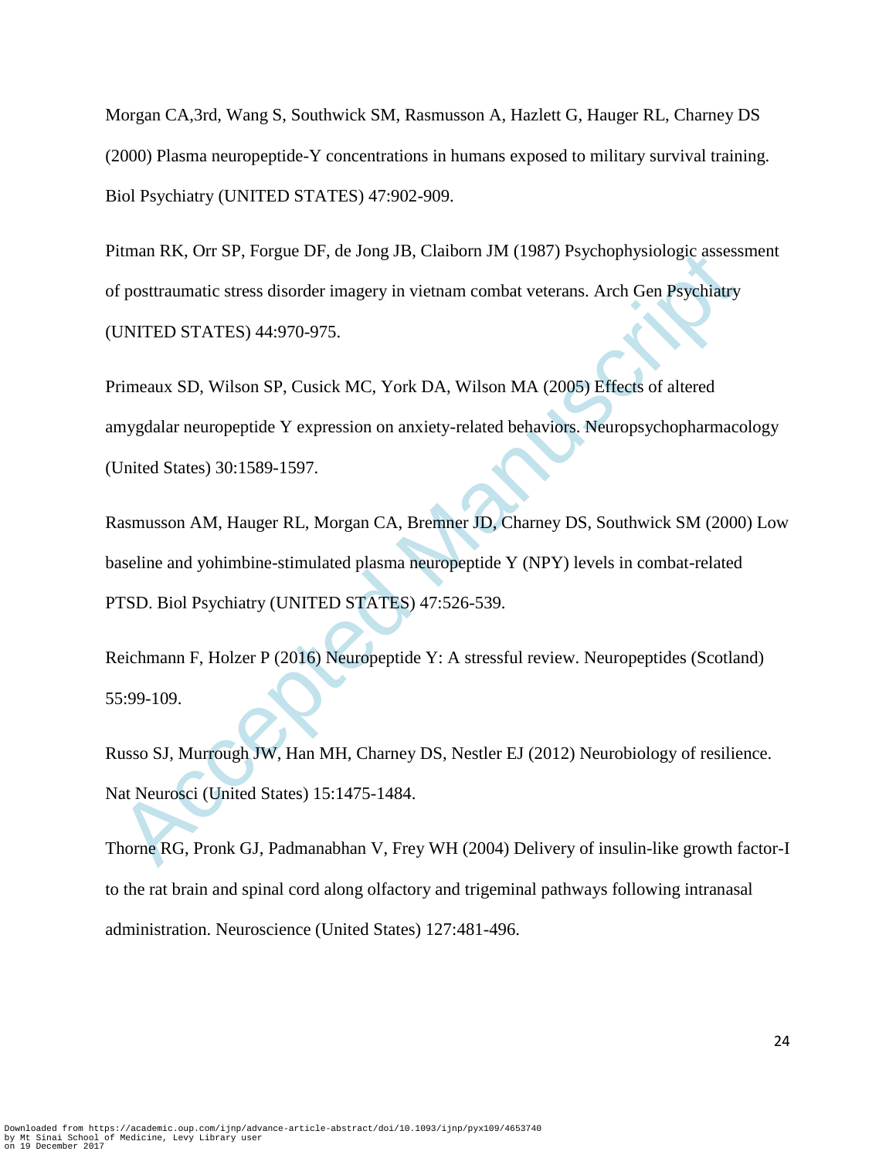Morgan CA,3rd, Wang S, Southwick SM, Rasmusson A, Hazlett G, Hauger RL, Charney DS (2000) Plasma neuropeptide-Y concentrations in humans exposed to military survival training. Biol Psychiatry (UNITED STATES) 47:902-909.

Pitman RK, Orr SP, Forgue DF, de Jong JB, Claiborn JM (1987) Psychophysiologic assessment of posttraumatic stress disorder imagery in vietnam combat veterans. Arch Gen Psychiatry (UNITED STATES) 44:970-975.

Timan KK, Off SP, Forgue DP, de Jong JB, Clandom JM (1987) Psychophysiologic assess<br>
f posttraumatic stress disorder imagery in vietnam combat veterans. Arch Gen Psychiatry<br>
UNITED STATES) 44:970-975.<br>
rimeaux SD, Wilson S Primeaux SD, Wilson SP, Cusick MC, York DA, Wilson MA (2005) Effects of altered amygdalar neuropeptide Y expression on anxiety-related behaviors. Neuropsychopharmacology (United States) 30:1589-1597.

Rasmusson AM, Hauger RL, Morgan CA, Bremner JD, Charney DS, Southwick SM (2000) Low baseline and yohimbine-stimulated plasma neuropeptide Y (NPY) levels in combat-related PTSD. Biol Psychiatry (UNITED STATES) 47:526-539.

Reichmann F, Holzer P (2016) Neuropeptide Y: A stressful review. Neuropeptides (Scotland) 55:99-109.

Russo SJ, Murrough JW, Han MH, Charney DS, Nestler EJ (2012) Neurobiology of resilience. Nat Neurosci (United States) 15:1475-1484.

Thorne RG, Pronk GJ, Padmanabhan V, Frey WH (2004) Delivery of insulin-like growth factor-I to the rat brain and spinal cord along olfactory and trigeminal pathways following intranasal administration. Neuroscience (United States) 127:481-496.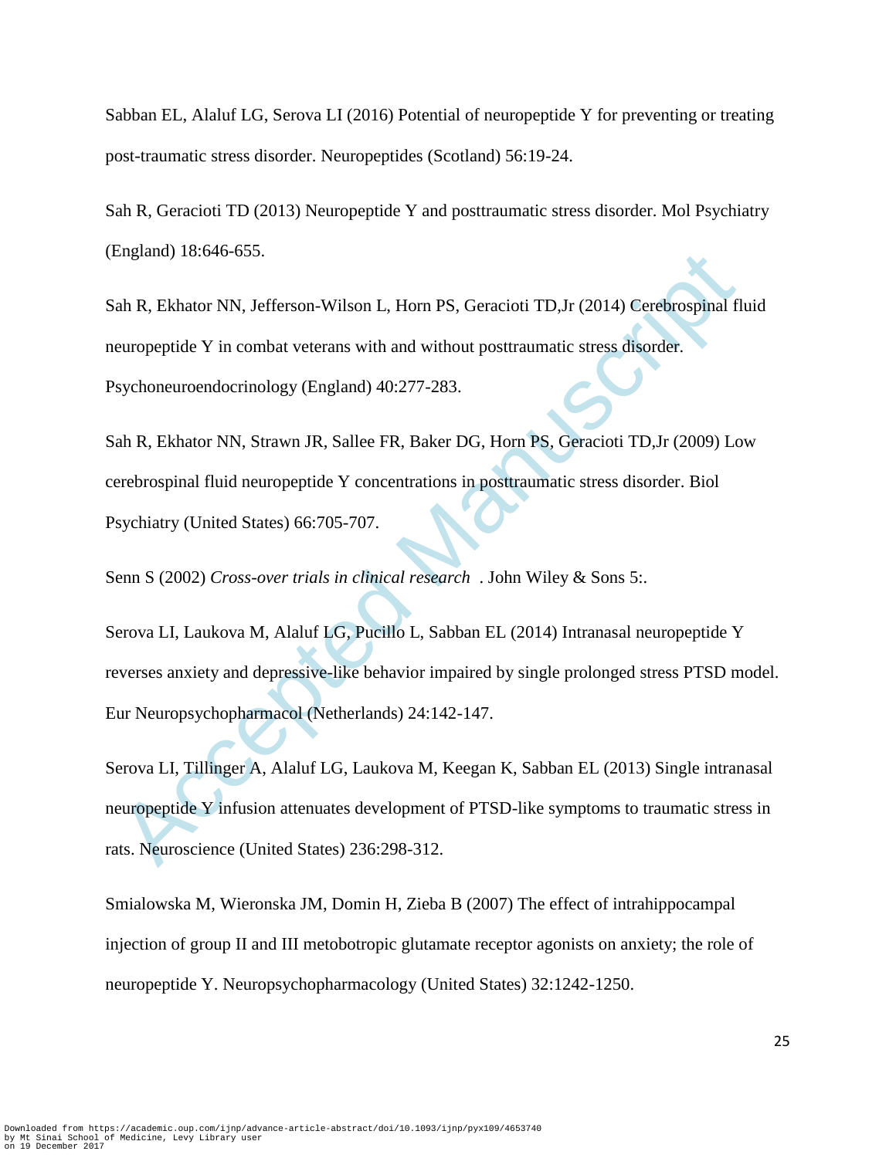Sabban EL, Alaluf LG, Serova LI (2016) Potential of neuropeptide Y for preventing or treating post-traumatic stress disorder. Neuropeptides (Scotland) 56:19-24.

Sah R, Geracioti TD (2013) Neuropeptide Y and posttraumatic stress disorder. Mol Psychiatry (England) 18:646-655.

Sah R, Ekhator NN, Jefferson-Wilson L, Horn PS, Geracioti TD,Jr (2014) Cerebrospinal fluid neuropeptide Y in combat veterans with and without posttraumatic stress disorder. Psychoneuroendocrinology (England) 40:277-283.

Sah R, Ekhator NN, Strawn JR, Sallee FR, Baker DG, Horn PS, Geracioti TD,Jr (2009) Low cerebrospinal fluid neuropeptide Y concentrations in posttraumatic stress disorder. Biol Psychiatry (United States) 66:705-707.

Senn S (2002) *Cross-over trials in clinical research* . John Wiley & Sons 5:.

England) 18:040-655.<br>
An R. Ekhator NN, Jefferson-Wilson L, Hom PS, Geracioti TD,Jr (2014) Cerebrospinal fl<br>
europeptide Y in combat veterans with and without posttraumatic stress disorder.<br>
Sychoneuroendocrinology (Englan Serova LI, Laukova M, Alaluf LG, Pucillo L, Sabban EL (2014) Intranasal neuropeptide Y reverses anxiety and depressive-like behavior impaired by single prolonged stress PTSD model. Eur Neuropsychopharmacol (Netherlands) 24:142-147.

Serova LI, Tillinger A, Alaluf LG, Laukova M, Keegan K, Sabban EL (2013) Single intranasal neuropeptide Y infusion attenuates development of PTSD-like symptoms to traumatic stress in rats. Neuroscience (United States) 236:298-312.

Smialowska M, Wieronska JM, Domin H, Zieba B (2007) The effect of intrahippocampal injection of group II and III metobotropic glutamate receptor agonists on anxiety; the role of neuropeptide Y. Neuropsychopharmacology (United States) 32:1242-1250.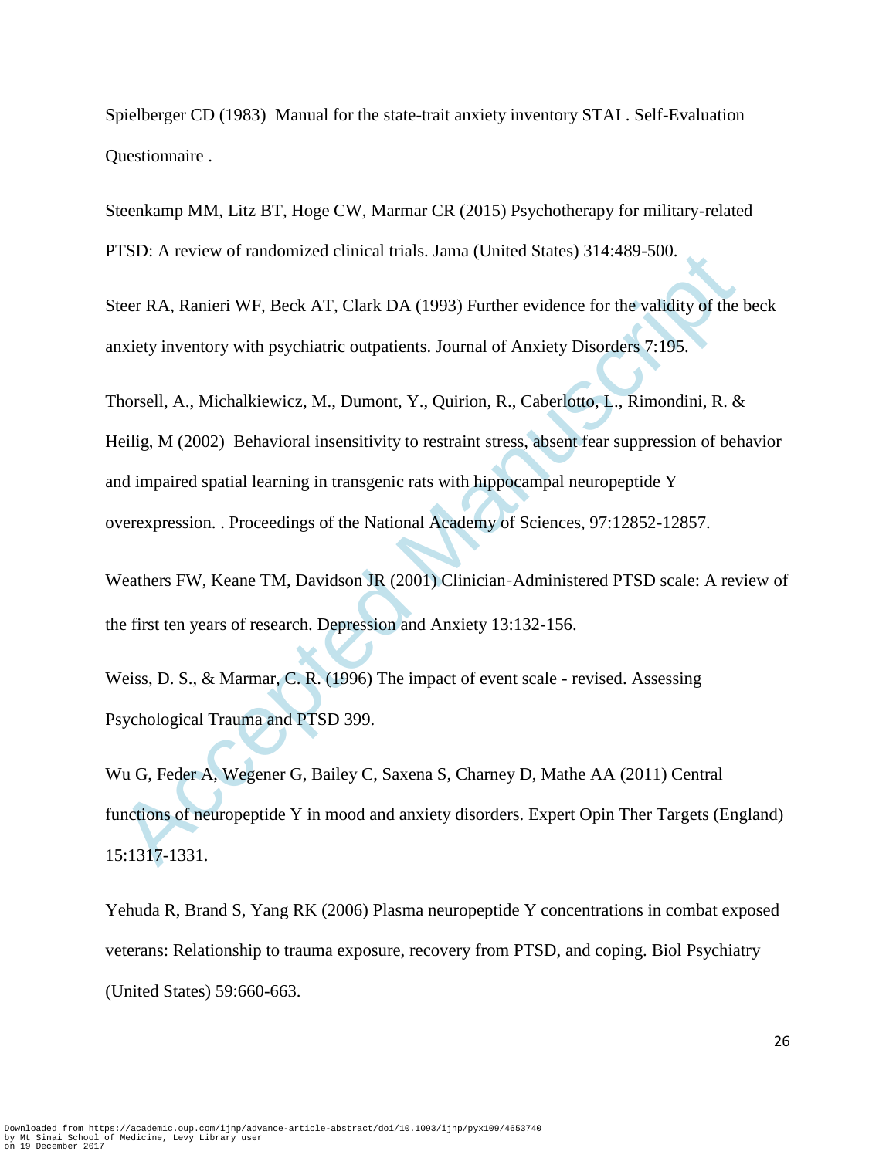Spielberger CD (1983) Manual for the state-trait anxiety inventory STAI . Self-Evaluation Questionnaire .

Steenkamp MM, Litz BT, Hoge CW, Marmar CR (2015) Psychotherapy for military-related PTSD: A review of randomized clinical trials. Jama (United States) 314:489-500.

Steer RA, Ranieri WF, Beck AT, Clark DA (1993) Further evidence for the validity of the beck anxiety inventory with psychiatric outpatients. Journal of Anxiety Disorders 7:195.

15D: A review or randomized clinical trials. Jama (United States) 314:489-500.<br>
teer RA, Ranieri WF, Beck AT, Clark DA (1993) Further evidence for the validity of the<br>
inxiety inventory with psychiatric outpaients. Journal Thorsell, A., Michalkiewicz, M., Dumont, Y., Quirion, R., Caberlotto, L., Rimondini, R. & Heilig, M (2002) Behavioral insensitivity to restraint stress, absent fear suppression of behavior and impaired spatial learning in transgenic rats with hippocampal neuropeptide Y overexpression. . Proceedings of the National Academy of Sciences, 97:12852-12857.

Weathers FW, Keane TM, Davidson JR (2001) Clinician‐Administered PTSD scale: A review of the first ten years of research. Depression and Anxiety 13:132-156.

Weiss, D. S., & Marmar, C. R. (1996) The impact of event scale - revised. Assessing Psychological Trauma and PTSD 399.

Wu G, Feder A, Wegener G, Bailey C, Saxena S, Charney D, Mathe AA (2011) Central functions of neuropeptide Y in mood and anxiety disorders. Expert Opin Ther Targets (England) 15:1317-1331.

Yehuda R, Brand S, Yang RK (2006) Plasma neuropeptide Y concentrations in combat exposed veterans: Relationship to trauma exposure, recovery from PTSD, and coping. Biol Psychiatry (United States) 59:660-663.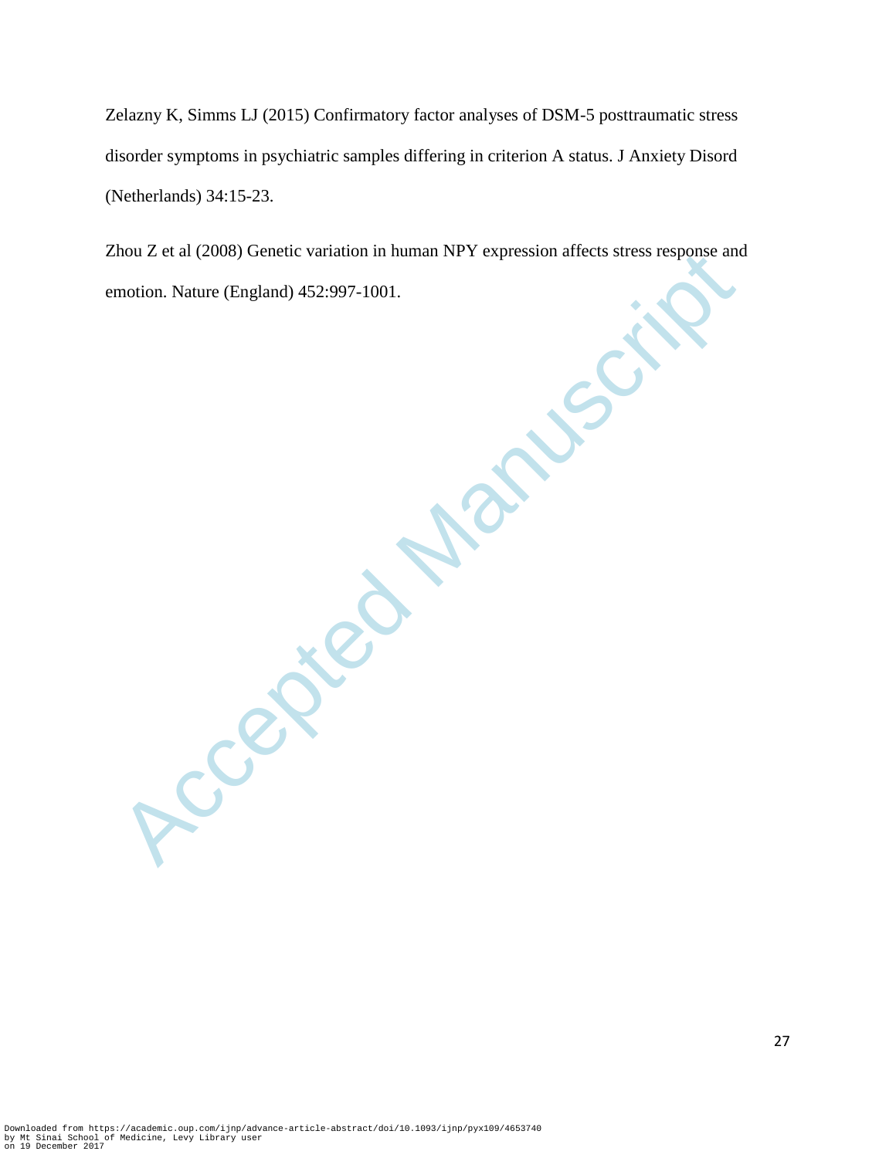Zelazny K, Simms LJ (2015) Confirmatory factor analyses of DSM-5 posttraumatic stress disorder symptoms in psychiatric samples differing in criterion A status. J Anxiety Disord (Netherlands) 34:15-23.

Zhou Z et al (2008) Genetic variation in human NPY expression affects stress response and<br>emotion. Nature (England) 452:997-1001.<br>Accepted Manuscript (England) 452:997-1001. emotion. Nature (England) 452:997-1001.

Downloaded from https://academic.oup.com/ijnp/advance-article-abstract/doi/10.1093/ijnp/pyx109/4653740 by Mt Sinai School of Medicine, Levy Library user on 19 December 2017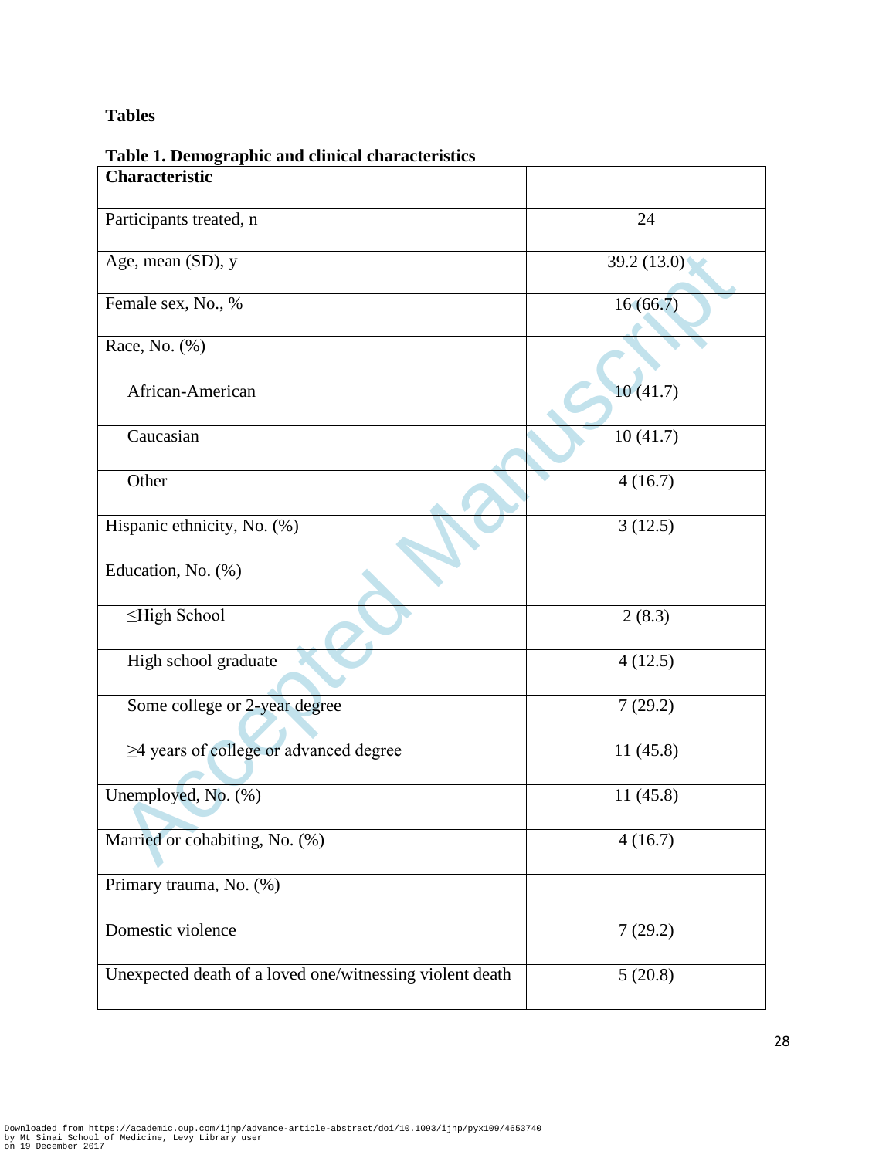# **Tables**

| I able 1. Demographic and chincal characteristics<br>Characteristic |             |
|---------------------------------------------------------------------|-------------|
|                                                                     |             |
| Participants treated, n                                             | 24          |
| Age, mean (SD), y                                                   | 39.2 (13.0) |
| Female sex, No., %                                                  | 16(66.7)    |
| Race, No. (%)                                                       |             |
| African-American                                                    | 10(41.7)    |
| Caucasian                                                           | 10(41.7)    |
| Other                                                               | 4(16.7)     |
| Hispanic ethnicity, No. (%)                                         | 3(12.5)     |
| Education, No. (%)                                                  |             |
| ≤High School                                                        | 2(8.3)      |
| High school graduate                                                | 4(12.5)     |
| Some college or 2-year degree                                       | 7(29.2)     |
| $\geq$ 4 years of college or advanced degree                        | 11(45.8)    |
| Unemployed, No. (%)                                                 | 11(45.8)    |
| Married or cohabiting, No. (%)                                      | 4(16.7)     |
| Primary trauma, No. (%)                                             |             |
| Domestic violence                                                   | 7(29.2)     |
| Unexpected death of a loved one/witnessing violent death            | 5(20.8)     |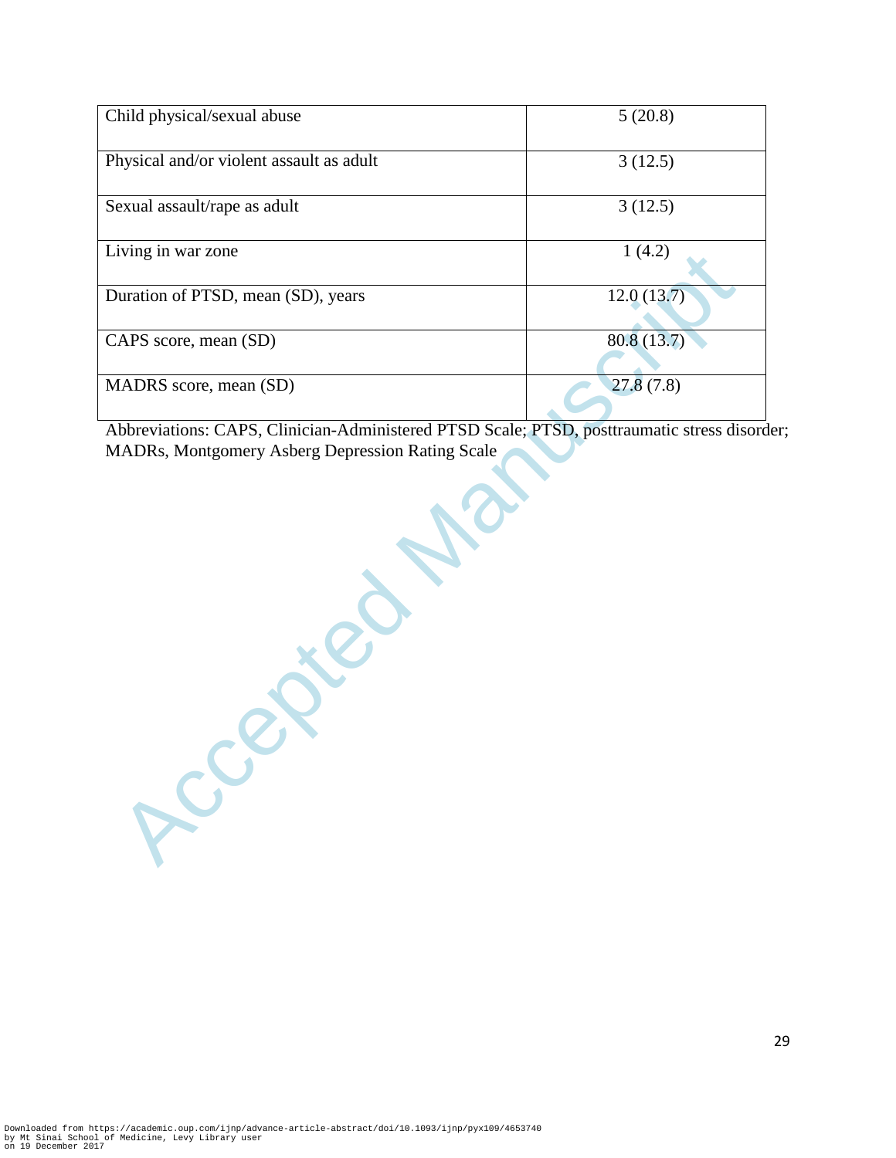| Child physical/sexual abuse              | 5(20.8)     |
|------------------------------------------|-------------|
| Physical and/or violent assault as adult | 3(12.5)     |
| Sexual assault/rape as adult             | 3(12.5)     |
| Living in war zone                       | 1(4.2)      |
| Duration of PTSD, mean (SD), years       | 12.0(13.7)  |
| CAPS score, mean (SD)                    | 80.8 (13.7) |
| MADRS score, mean (SD)                   | 27.8(7.8)   |

Abbreviations: CAPS, Clinician-Administered PTSD Scale; PTSD, posttraumatic stress disorder; MADRs, Montgomery Asberg Depression Rating Scale

Accepted Mai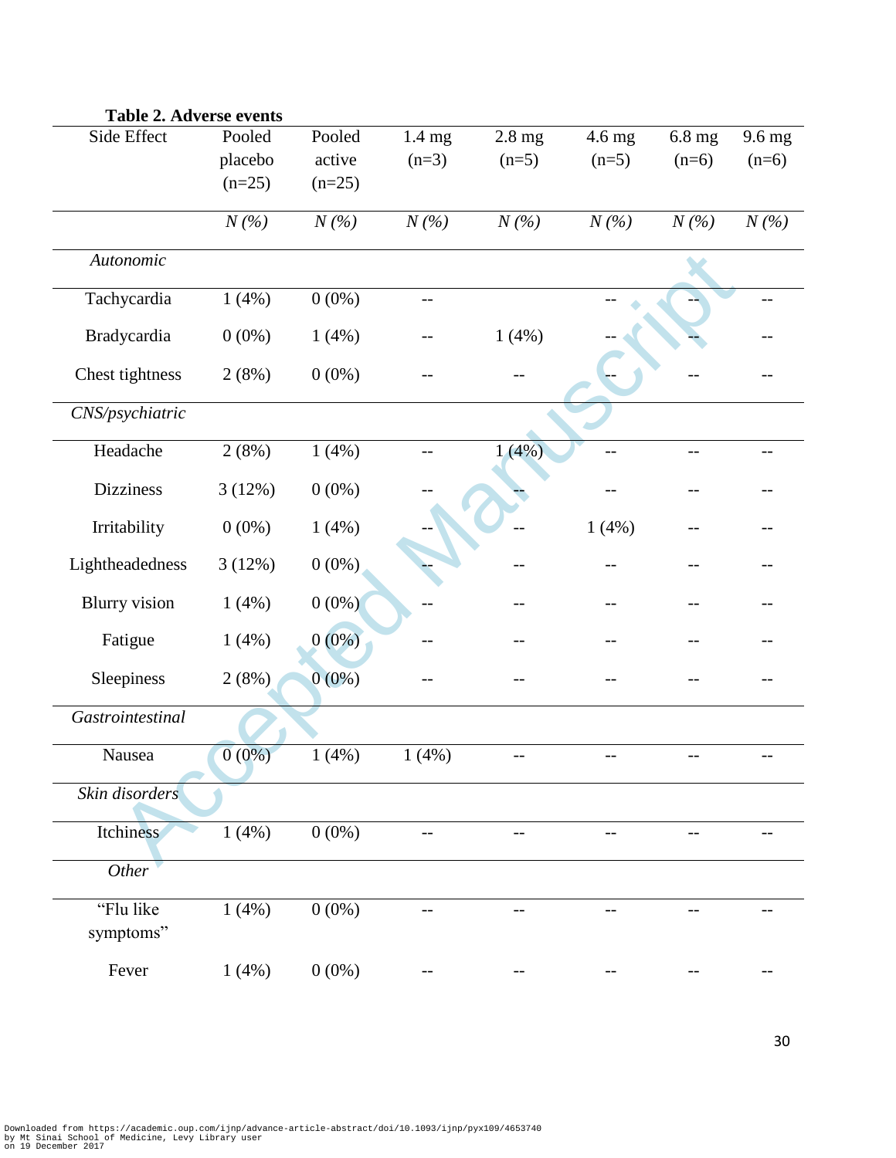| Table 2. Adverse events |                     |          |                  |          |          |          |                  |
|-------------------------|---------------------|----------|------------------|----------|----------|----------|------------------|
| Side Effect             | Pooled              | Pooled   | $1.4 \text{ mg}$ | $2.8$ mg | $4.6$ mg | $6.8$ mg | $9.6 \text{ mg}$ |
|                         | placebo             | active   | $(n=3)$          | $(n=5)$  | $(n=5)$  | $(n=6)$  | $(n=6)$          |
|                         | $(n=25)$            | $(n=25)$ |                  |          |          |          |                  |
|                         |                     |          |                  |          |          |          |                  |
|                         | $N(\%)$             | $N(\%)$  | $N(\%)$          | $N(\%)$  | $N(\%)$  | $N(\%)$  | $N(\%)$          |
| Autonomic               |                     |          |                  |          |          |          |                  |
|                         |                     |          |                  |          |          |          |                  |
| Tachycardia             | 1(4%)               | $0(0\%)$ | $-$              |          |          |          |                  |
|                         |                     |          |                  |          |          |          |                  |
| Bradycardia             | $0(0\%)$            | 1(4%)    | --               | 1(4%)    |          |          |                  |
| Chest tightness         | 2(8%)               | $0(0\%)$ |                  |          |          |          |                  |
|                         |                     |          |                  |          |          |          |                  |
| CNS/psychiatric         |                     |          |                  |          |          |          |                  |
|                         |                     |          |                  |          |          |          |                  |
| Headache                | 2(8%)               | 1(4%)    | $-$              | 1(4%)    | $-$      | $-$      | $-$              |
| <b>Dizziness</b>        | 3(12%)              | $0(0\%)$ |                  |          |          |          |                  |
|                         |                     |          |                  |          |          |          |                  |
| Irritability            | $0(0\%)$            | 1(4%)    |                  |          | 1(4%)    |          |                  |
| Lightheadedness         | 3(12%)              | $0(0\%)$ |                  |          |          |          |                  |
|                         |                     |          |                  |          |          |          |                  |
| <b>Blurry</b> vision    | 1(4%)               | $0(0\%)$ |                  |          |          |          |                  |
|                         |                     |          |                  |          |          |          |                  |
| Fatigue                 | 1(4%)               | $0(0\%)$ |                  |          |          |          |                  |
| Sleepiness              | 2(8%)               | $0(0\%)$ |                  |          |          |          |                  |
|                         |                     |          |                  |          |          |          |                  |
| Gastrointestinal        |                     |          |                  |          |          |          |                  |
|                         |                     |          |                  |          |          |          |                  |
| Nausea                  | $\overline{0}$ (0%) | 1(4%)    | 1(4%)            | $-$      | --       |          |                  |
| Skin disorders          |                     |          |                  |          |          |          |                  |
|                         |                     |          |                  |          |          |          |                  |
| Itchiness               | 1(4%)               | $0(0\%)$ |                  | --       | $-$      |          |                  |
|                         |                     |          |                  |          |          |          |                  |
| Other                   |                     |          |                  |          |          |          |                  |
| "Flu like               | 1(4%)               | $0(0\%)$ |                  | --       |          |          |                  |
| symptoms"               |                     |          |                  |          |          |          |                  |
|                         |                     |          |                  |          |          |          |                  |
| Fever                   | 1(4%)               | $0(0\%)$ |                  |          |          |          |                  |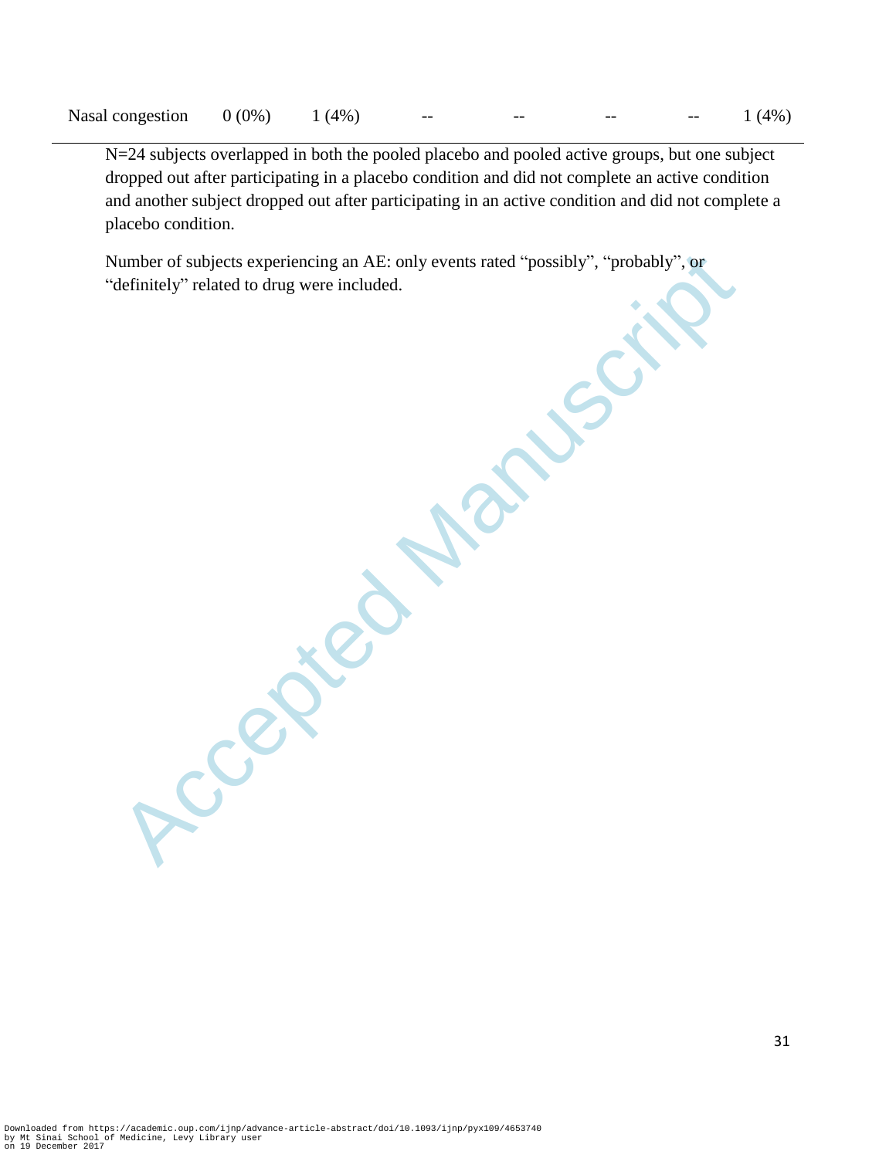| Nasal congestion | $0(0\%)$ | 1(4%) |  | -- |  |  | 1(4%) |
|------------------|----------|-------|--|----|--|--|-------|
|------------------|----------|-------|--|----|--|--|-------|

N=24 subjects overlapped in both the pooled placebo and pooled active groups, but one subject dropped out after participating in a placebo condition and did not complete an active condition and another subject dropped out after participating in an active condition and did not complete a placebo condition.

Number of subjects experiencing an AE: only events rated "possibly", "probably", or<br>"definitely" related to drug were included.<br>And the subjects of the subjects experiencing an AE: only events rated "possibly", "probably", "definitely" related to drug were included.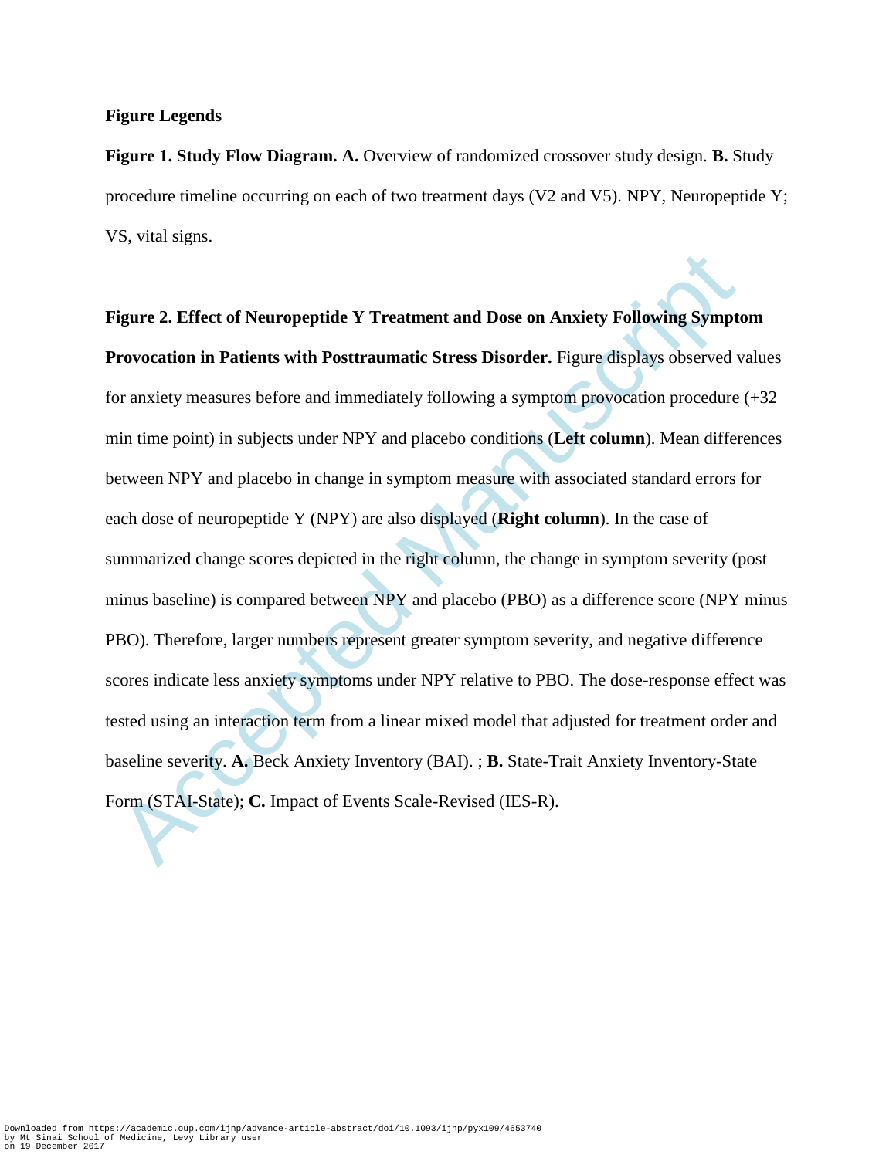#### **Figure Legends**

**Figure 1. Study Flow Diagram. A.** Overview of randomized crossover study design. **B.** Study procedure timeline occurring on each of two treatment days (V2 and V5). NPY, Neuropeptide Y; VS, vital signs.

Transformalies **Example 15 Transformalism**<br> **Example 15 Transformalism**<br> **Example 16 Transformalism in Positranumatic Stress Disorder.** Figure displays observed v<br>
an anxiety measures before and immediately following a sym **Figure 2. Effect of Neuropeptide Y Treatment and Dose on Anxiety Following Symptom** Provocation in Patients with Posttraumatic Stress Disorder. Figure displays observed values for anxiety measures before and immediately following a symptom provocation procedure (+32 min time point) in subjects under NPY and placebo conditions (**Left column**). Mean differences between NPY and placebo in change in symptom measure with associated standard errors for each dose of neuropeptide Y (NPY) are also displayed (**Right column**). In the case of summarized change scores depicted in the right column, the change in symptom severity (post minus baseline) is compared between NPY and placebo (PBO) as a difference score (NPY minus PBO). Therefore, larger numbers represent greater symptom severity, and negative difference scores indicate less anxiety symptoms under NPY relative to PBO. The dose-response effect was tested using an interaction term from a linear mixed model that adjusted for treatment order and baseline severity. **A.** Beck Anxiety Inventory (BAI). ; **B.** State-Trait Anxiety Inventory-State Form (STAI-State); **C.** Impact of Events Scale-Revised (IES-R).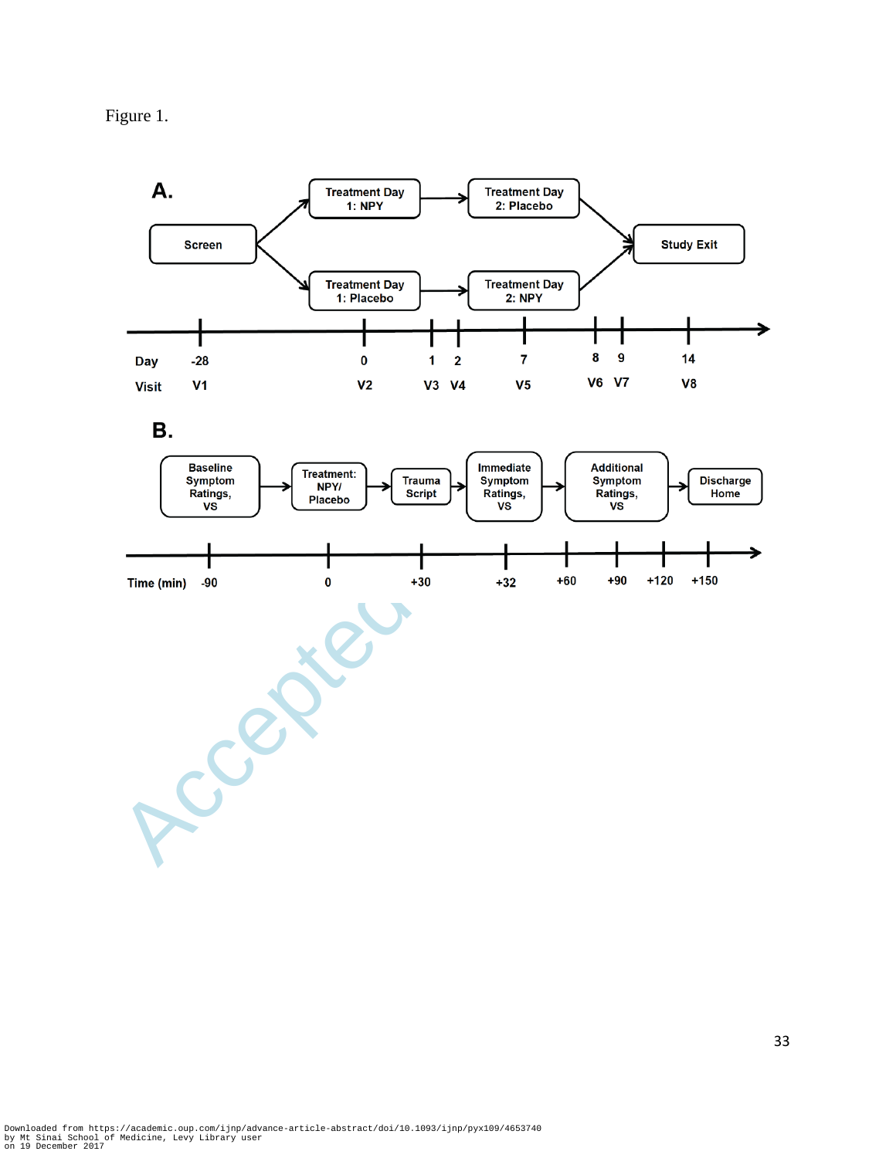Figure 1.